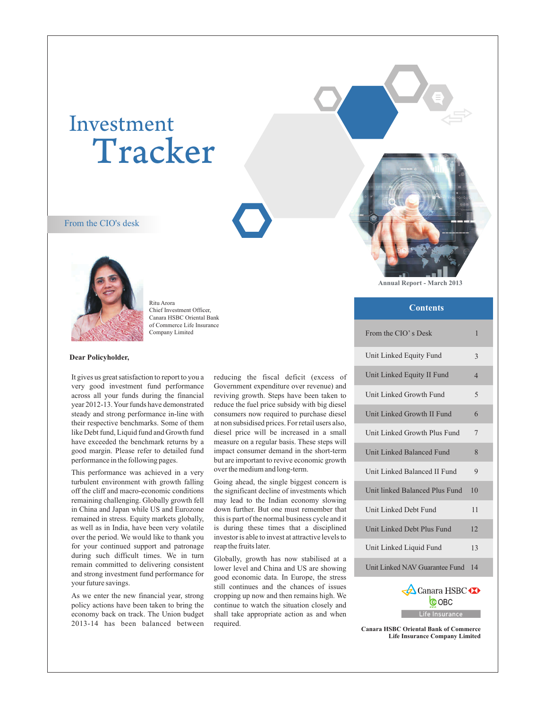# Investment Tracker

#### From the CIO's desk



Ritu Arora Chief Investment Officer, Canara HSBC Oriental Bank of Commerce Life Insurance Company Limited

#### **Dear Policyholder,**

It gives us great satisfaction to report to you a very good investment fund performance across all your funds during the financial year 2012-13. Your funds have demonstrated steady and strong performance in-line with their respective benchmarks. Some of them like Debt fund, Liquid fund and Growth fund have exceeded the benchmark returns by a good margin. Please refer to detailed fund performance in the following pages.

This performance was achieved in a very turbulent environment with growth falling off the cliff and macro-economic conditions remaining challenging. Globally growth fell in China and Japan while US and Eurozone remained in stress. Equity markets globally, as well as in India, have been very volatile over the period. We would like to thank you for your continued support and patronage during such difficult times. We in turn remain committed to delivering consistent and strong investment fund performance for your future savings.

As we enter the new financial year, strong policy actions have been taken to bring the economy back on track. The Union budget 2013-14 has been balanced between reducing the fiscal deficit (excess of Government expenditure over revenue) and reviving growth. Steps have been taken to reduce the fuel price subsidy with big diesel consumers now required to purchase diesel at non subsidised prices. For retail users also, diesel price will be increased in a small measure on a regular basis. These steps will impact consumer demand in the short-term but are important to revive economic growth over the medium and long-term.

Going ahead, the single biggest concern is the significant decline of investments which may lead to the Indian economy slowing down further. But one must remember that this is part of the normal business cycle and it is during these times that a disciplined investor is able to invest at attractive levels to reap the fruits later.

Globally, growth has now stabilised at a lower level and China and US are showing good economic data. In Europe, the stress still continues and the chances of issues cropping up now and then remains high. We continue to watch the situation closely and shall take appropriate action as and when required.

**Annual Report - March 2013**

#### **Contents**

| From the CIO's Desk            | 1              |
|--------------------------------|----------------|
| Unit Linked Equity Fund        | 3              |
| Unit Linked Equity II Fund     | $\overline{4}$ |
| Unit Linked Growth Fund        | 5              |
| Unit Linked Growth II Fund     | 6              |
| Unit Linked Growth Plus Fund   | 7              |
| Unit Linked Balanced Fund      | 8              |
| Unit Linked Balanced II Fund   | 9              |
| Unit linked Balanced Plus Fund | 10             |
| Unit Linked Debt Fund          | 11             |
| Unit Linked Debt Plus Fund     | 12             |
| Unit Linked Liquid Fund        | 13             |
| Unit Linked NAV Guarantee Fund | 14             |
| <b>A</b> Canara HSBC           |                |



**Canara HSBC Oriental Bank of Comme rce Life Insurance Company Limited**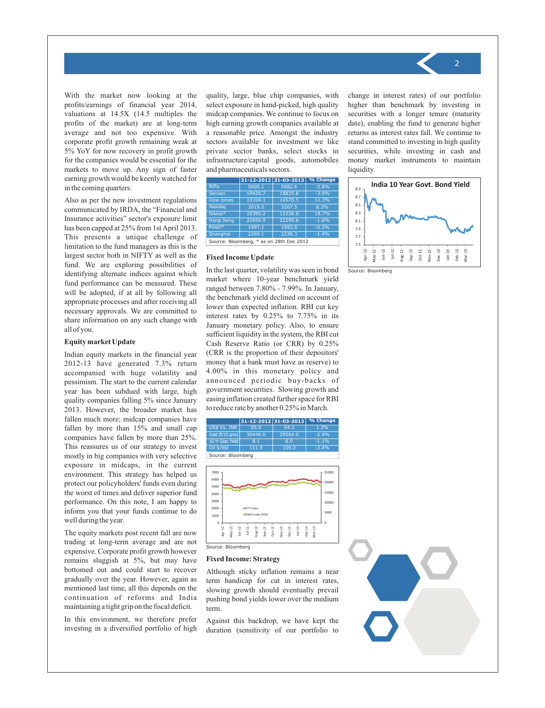With the market now looking at the profits/earnings of financial year 2014, valuations at 14.5X (14.5 multiples the profits of the market) are at long-term average and not too expensive. With corporate profit growth remaining weak at 5% YoY for now recovery in profit growth for the companies would be essential for the markets to move up. Any sign of faster earning growth would be keenly watched for in the coming quarters.

Also as per the new investment regulations communicated by IRDA, the "Financial and Insurance activities" sector's exposure limit has been capped at 25% from 1st April 2013. This presents a unique challenge of limitation to the fund managers as this is the largest sector both in NIFTY as well as the fund. We are exploring possibilities of identifying alternate indices against which fund performance can be measured. These will be adopted, if at all by following all appropriate processes and after receiving all necessary approvals. We are committed to share information on any such change with all of you.

#### **Equity market Update**

Indian equity markets in the financial year 2012-13 have generated 7.3% return accompanied with huge volatility and pessimism. The start to the current calendar year has been subdued with large, high quality companies falling 5% since January 2013. However, the broader market has fallen much more; midcap companies have fallen by more than 15% and small cap companies have fallen by more than 25%. This reassures us of our strategy to invest mostly in big companies with very selective exposure in midcaps, in the current environment. This strategy has helped us protect our policyholders' funds even during the worst of times and deliver superior fund performance. On this note, I am happy to inform you that your funds continue to do well during the year.

The equity markets post recent fall are now trading at long-term average and are not expensive. Corporate profit growth however remains sluggish at 5%, but may have bottomed out and could start to recover gradually over the year. However, again as mentioned last time, all this depends on the continuation of reforms and India maintaining a tight grip on the fiscal deficit.

In this environment, we therefore prefer investing in a diversified portfolio of high quality, large, blue chip companies, with select exposure in hand-picked, high quality midcap companies. We continue to focus on high earning growth companies available at a reasonable price. Amongst the industry sectors available for investment we like private sector banks, select stocks in infrastructure/capital goods, automobiles and pharmaceuticals sectors.

|                  |         | 31-12-2012 31-03-2013 | % Change                                 |  |  |  |  |  |  |
|------------------|---------|-----------------------|------------------------------------------|--|--|--|--|--|--|
| <b>Nifty</b>     | 5905.1  | 5682.6                | $-3.8%$                                  |  |  |  |  |  |  |
| <b>Sensex</b>    | 19426.7 | 18835.8               | $-3.0%$                                  |  |  |  |  |  |  |
| Dow Jones        | 13104.1 | 14578.5               | 11.3%                                    |  |  |  |  |  |  |
| <b>Nasdag</b>    | 3019.5  | 3267.5                | 8.2%                                     |  |  |  |  |  |  |
| Nikkei*          | 10395.2 | 12336.0               | 18.7%                                    |  |  |  |  |  |  |
| <b>Hang Seng</b> | 22656.9 | 22299.6               | $-1.6%$                                  |  |  |  |  |  |  |
| Kospi*           | 1997.1  | 1993.5                | $-0.2%$                                  |  |  |  |  |  |  |
| Shanghai         | 2269.1  | 2236.3                | $-1.4%$                                  |  |  |  |  |  |  |
|                  |         |                       | Source: Bloomberg, * as on 28th Dec 2012 |  |  |  |  |  |  |

#### **Fixed Income Update**

In the last quarter, volatility was seen in bond market where 10-year benchmark yield ranged between 7.80% - 7.99%. In January, the benchmark yield declined on account of lower than expected inflation. RBI cut key interest rates by 0.25% to 7.75% in its January monetary policy. Also, to ensure sufficient liquidity in the system, the RBI cut Cash Reserve Ratio (or CRR) by 0.25% (CRR is the proportion of their depositors' money that a bank must have as reserve) to 4.00% in this monetary policy and announced periodic buy-backs of government securities. Slowing growth and easing inflation created further space for RBI to reduce rate by another 0.25% in March.



Source: Bloomberg

#### **Fixed Income: Strategy**

Although sticky inflation remains a near term handicap for cut in interest rates, slowing growth should eventually prevail pushing bond yields lower over the medium term.

Against this backdrop, we have kept the duration (sensitivity of our portfolio to

change in interest rates) of our portfolio higher than benchmark by investing in securities with a longer tenure (maturity date), enabling the fund to generate higher returns as interest rates fall. We continue to stand committed to investing in high quality securities, while investing in cash and money market instruments to maintain liquidity.



Source: Bloomberg

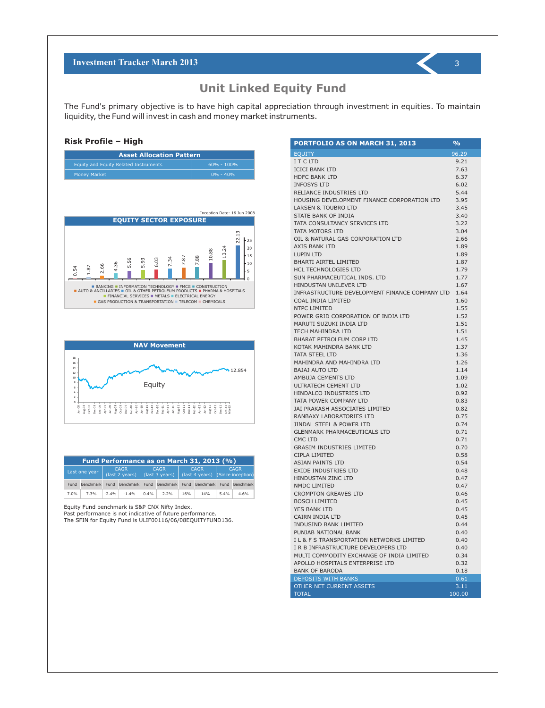### **Unit Linked Equity Fund**

The Fund's primary objective is to have high capital appreciation through investment in equities. To maintain liquidity, the Fund will invest in cash and money market instruments.

#### **Risk Profile – High**

| <b>Asset Allocation Pattern</b>       |                |  |  |  |
|---------------------------------------|----------------|--|--|--|
| Equity and Equity Related Instruments | $60\% - 100\%$ |  |  |  |
| <b>Money Market</b>                   | $0\% - 40\%$   |  |  |  |





| Fund Performance as on March 31, 2013 (%) |           |                                             |                |                               |                               |     |                                                                   |      |                |
|-------------------------------------------|-----------|---------------------------------------------|----------------|-------------------------------|-------------------------------|-----|-------------------------------------------------------------------|------|----------------|
| Last one year                             |           | <b>CAGR</b><br>$\frac{1}{2}$ (last 2 years) |                | <b>CAGR</b><br>(last 3 years) |                               |     | <b>CAGR</b><br>$\left($ (last 4 years) $\left[$ (Since inception) |      | <b>CAGR</b>    |
| Fund                                      | Benchmark |                                             | Fund Benchmark |                               | Fund Benchmark Fund Benchmark |     |                                                                   |      | Fund Benchmark |
| 7.0%                                      | 7.3%      | $-2.4%$                                     | $-1.4%$        | 0.4%                          | 2.2%                          | 16% | 14%                                                               | 5.4% | 4.6%           |

Equity Fund benchmark is S&P CNX Nifty Index.

Past performance is not indicative of future performance.

The SFIN for Equity Fund is ULIF00116/06/08EQUITYFUND136.

| <b>PORTFOLIO AS ON MARCH 31, 2013</b>          | %      |
|------------------------------------------------|--------|
| <b>EQUITY</b>                                  | 96.29  |
| I T C LTD                                      | 9.21   |
| <b>ICICI BANK LTD</b>                          | 7.63   |
| <b>HDFC BANK LTD</b>                           | 6.37   |
| <b>INFOSYS LTD</b>                             | 6.02   |
| RELIANCE INDUSTRIES LTD                        | 5.44   |
| HOUSING DEVELOPMENT FINANCE CORPORATION LTD    | 3.95   |
| <b>LARSEN &amp; TOUBRO LTD</b>                 | 3.45   |
| STATE BANK OF INDIA                            | 3.40   |
| TATA CONSULTANCY SERVICES LTD                  | 3.22   |
| TATA MOTORS LTD                                |        |
|                                                | 3.04   |
| OIL & NATURAL GAS CORPORATION LTD              | 2.66   |
| AXIS BANK LTD                                  | 1.89   |
| LUPIN LTD                                      | 1.89   |
| <b>BHARTI AIRTEL LIMITED</b>                   | 1.87   |
| <b>HCL TECHNOLOGIES LTD</b>                    | 1.79   |
| SUN PHARMACEUTICAL INDS. LTD                   | 1.77   |
| HINDUSTAN UNILEVER LTD                         | 1.67   |
| INFRASTRUCTURE DEVELOPMENT FINANCE COMPANY LTD | 1.64   |
| COAL INDIA LIMITED                             | 1.60   |
| NTPC LIMITED                                   | 1.55   |
| POWER GRID CORPORATION OF INDIA LTD            | 1.52   |
| MARUTI SUZUKI INDIA LTD                        | 1.51   |
| <b>TECH MAHINDRA LTD</b>                       | 1.51   |
| <b>BHARAT PETROLEUM CORP LTD</b>               | 1.45   |
| KOTAK MAHINDRA BANK LTD                        | 1.37   |
| <b>TATA STEEL LTD</b>                          | 1.36   |
| MAHINDRA AND MAHINDRA LTD                      | 1.26   |
| <b>BAJAJ AUTO LTD</b>                          | 1.14   |
| <b>AMBUJA CEMENTS LTD</b>                      | 1.09   |
| ULTRATECH CEMENT LTD                           | 1.02   |
| HINDALCO INDUSTRIES LTD                        | 0.92   |
| TATA POWER COMPANY LTD                         | 0.83   |
| <b>JAI PRAKASH ASSOCIATES LIMITED</b>          | 0.82   |
| RANBAXY LABORATORIES LTD                       | 0.75   |
| <b>JINDAL STEEL &amp; POWER LTD</b>            | 0.74   |
| <b>GLENMARK PHARMACEUTICALS LTD</b>            | 0.71   |
| CMC LTD                                        | 0.71   |
| <b>GRASIM INDUSTRIES LIMITED</b>               | 0.70   |
| CIPLA LIMITED                                  |        |
| <b>ASIAN PAINTS LTD</b>                        | 0.58   |
|                                                | 0.54   |
| <b>EXIDE INDUSTRIES LTD</b>                    | 0.48   |
| HINDUSTAN ZINC LTD                             | 0.47   |
| NMDC LIMITED                                   | 0.47   |
| <b>CROMPTON GREAVES LTD</b>                    | 0.46   |
| <b>BOSCH LIMITED</b>                           | 0.45   |
| YES BANK LTD                                   | 0.45   |
| CAIRN INDIA LTD                                | 0.45   |
| <b>INDUSIND BANK LIMITED</b>                   | 0.44   |
| PUNJAB NATIONAL BANK                           | 0.40   |
| I L & F S TRANSPORTATION NETWORKS LIMITED      | 0.40   |
| I R B INFRASTRUCTURE DEVELOPERS LTD            | 0.40   |
| MULTI COMMODITY EXCHANGE OF INDIA LIMITED      | 0.34   |
| APOLLO HOSPITALS ENTERPRISE LTD                | 0.32   |
| <b>BANK OF BARODA</b>                          | 0.18   |
| <b>DEPOSITS WITH BANKS</b>                     | 0.61   |
| OTHER NET CURRENT ASSETS                       | 3.11   |
| <b>TOTAL</b>                                   | 100.00 |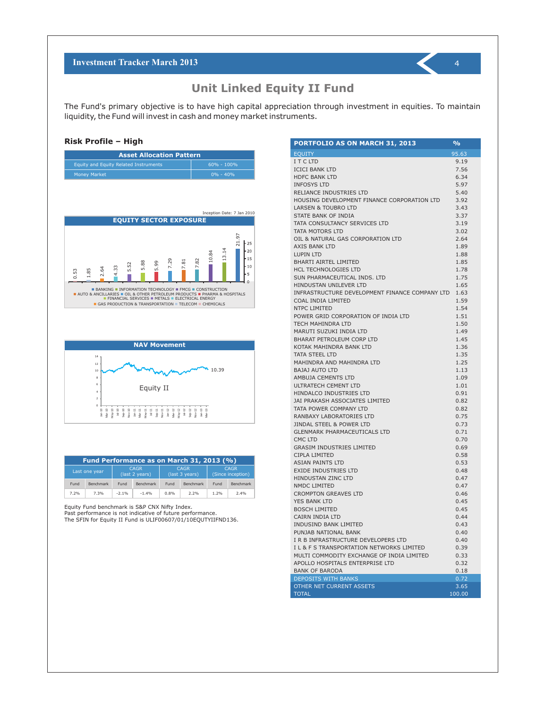### **Unit Linked Equity II Fund**

The Fund's primary objective is to have high capital appreciation through investment in equities. To maintain liquidity, the Fund will invest in cash and money market instruments.

#### **Risk Profile – High**

| <b>Asset Allocation Pattern</b>       |                |  |  |  |  |
|---------------------------------------|----------------|--|--|--|--|
| Equity and Equity Related Instruments | $60\% - 100\%$ |  |  |  |  |
| <b>Money Market</b>                   | $0\% - 40\%$   |  |  |  |  |





| Fund Performance as on March 31, 2013 (%) |                  |                               |                  |                               |           |                                  |                  |
|-------------------------------------------|------------------|-------------------------------|------------------|-------------------------------|-----------|----------------------------------|------------------|
|                                           | Last one year    | <b>CAGR</b><br>(last 2 years) |                  | <b>CAGR</b><br>(last 3 years) |           | <b>CAGR</b><br>(Since inception) |                  |
| Fund                                      | <b>Benchmark</b> | Fund                          | <b>Benchmark</b> | Fund                          | Benchmark | Fund                             | <b>Benchmark</b> |
| 7.2%                                      | 7.3%             | $-2.1%$                       | $-1.4%$          | 0.8%                          | 2.2%      | 1.2%                             | 2.4%             |

Equity Fund benchmark is S&P CNX Nifty Index.

Past performance is not indicative of future performance.

The SFIN for Equity II Fund is ULIF00607/01/10EQUTYIIFND136.

| <b>PORTFOLIO AS ON MARCH 31, 2013</b>             | %            |
|---------------------------------------------------|--------------|
| <b>EQUITY</b>                                     | 95.63        |
| I T C LTD                                         | 9.19         |
| <b>ICICI BANK LTD</b>                             | 7.56         |
| <b>HDFC BANK LTD</b>                              | 6.34         |
| <b>INFOSYS LTD</b>                                | 5.97         |
| RELIANCE INDUSTRIES LTD                           | 5.40         |
| HOUSING DEVELOPMENT FINANCE CORPORATION LTD       | 3.92         |
| <b>LARSEN &amp; TOUBRO LTD</b>                    | 3.43         |
| STATE BANK OF INDIA                               | 3.37         |
| TATA CONSULTANCY SERVICES LTD                     | 3.19         |
| TATA MOTORS LTD                                   | 3.02         |
| OIL & NATURAL GAS CORPORATION LTD                 | 2.64         |
| <b>AXIS BANK LTD</b>                              | 1.89         |
| LUPIN LTD                                         | 1.88         |
| <b>BHARTI AIRTEL LIMITED</b>                      | 1.85         |
| <b>HCL TECHNOLOGIES LTD</b>                       | 1.78         |
| SUN PHARMACEUTICAL INDS. LTD                      | 1.75         |
| HINDUSTAN UNILEVER LTD                            | 1.65         |
| INFRASTRUCTURE DEVELOPMENT FINANCE COMPANY LTD    | 1.63         |
| COAL INDIA LIMITED                                | 1.59         |
| NTPC LIMITED                                      | 1.54         |
| POWER GRID CORPORATION OF INDIA LTD               | 1.51         |
| TECH MAHINDRA LTD                                 | 1.50         |
| MARUTI SUZUKI INDIA LTD                           | 1.49         |
| <b>BHARAT PETROLEUM CORP LTD</b>                  | 1.45         |
| KOTAK MAHINDRA BANK LTD                           | 1.36         |
| TATA STEEL LTD                                    | 1.35         |
| MAHINDRA AND MAHINDRA LTD                         | 1.25         |
| <b>BAJAJ AUTO LTD</b>                             | 1.13         |
| <b>AMBUJA CEMENTS LTD</b>                         | 1.09         |
| <b>ULTRATECH CEMENT LTD</b>                       | 1.01         |
| HINDALCO INDUSTRIES LTD                           | 0.91         |
| JAI PRAKASH ASSOCIATES LIMITED                    | 0.82         |
| TATA POWER COMPANY LTD                            | 0.82         |
| RANBAXY LABORATORIES LTD                          | 0.75         |
| JINDAL STEEL & POWER LTD                          | 0.73         |
| <b>GLENMARK PHARMACEUTICALS LTD</b>               | 0.71         |
| CMC LTD                                           | 0.70         |
| <b>GRASIM INDUSTRIES LIMITED</b><br>CIPLA LIMITED | 0.69<br>0.58 |
| <b>ASIAN PAINTS LTD</b>                           | 0.53         |
| <b>EXIDE INDUSTRIES LTD</b>                       | 0.48         |
| <b>HINDUSTAN ZINC LTD</b>                         | 0.47         |
| <b>NMDC LIMITED</b>                               | 0.47         |
| <b>CROMPTON GREAVES LTD</b>                       | 0.46         |
| <b>YES BANK LTD</b>                               | 0.45         |
| <b>BOSCH LIMITED</b>                              | 0.45         |
| CAIRN INDIA LTD                                   | 0.44         |
| <b>INDUSIND BANK LIMITED</b>                      | 0.43         |
| PUNJAB NATIONAL BANK                              | 0.40         |
| I R B INFRASTRUCTURE DEVELOPERS LTD               | 0.40         |
| I L & F S TRANSPORTATION NETWORKS LIMITED         | 0.39         |
| MULTI COMMODITY EXCHANGE OF INDIA LIMITED         | 0.33         |
| APOLLO HOSPITALS ENTERPRISE LTD                   | 0.32         |
| <b>BANK OF BARODA</b>                             | 0.18         |
| <b>DEPOSITS WITH BANKS</b>                        | 0.72         |
| OTHER NET CURRENT ASSETS                          | 3.65         |
| <b>TOTAL</b>                                      | 100.00       |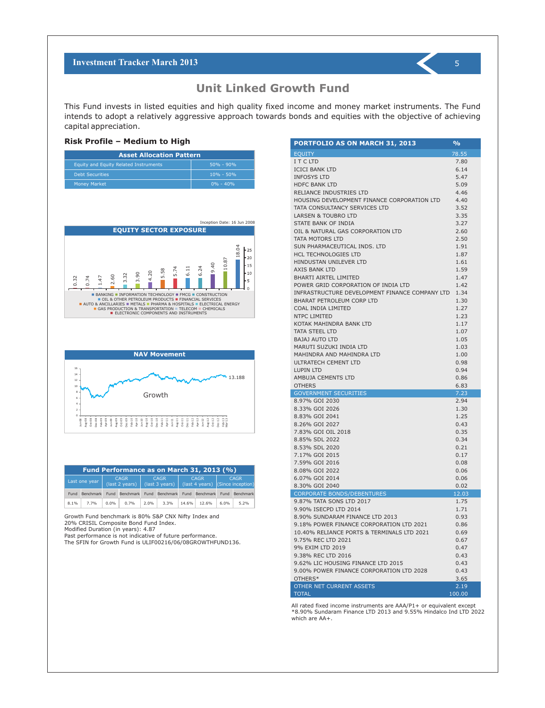This Fund invests in listed equities and high quality fixed income and money market instruments. The Fund intends to adopt a relatively aggressive approach towards bonds and equities with the objective of achieving capital appreciation.

#### **Risk Profile – Medium to High**

| <b>Asset Allocation Pattern</b>       |               |  |  |  |  |  |
|---------------------------------------|---------------|--|--|--|--|--|
| Equity and Equity Related Instruments | $50\% - 90\%$ |  |  |  |  |  |
| <b>Debt Securities</b>                | $10\% - 50\%$ |  |  |  |  |  |
| <b>Money Market</b>                   | $0\% - 40\%$  |  |  |  |  |  |





| Fund Performance as on March 31, 2013 (%) |                |         |                                                             |             |      |                                          |       |             |      |                                                 |  |
|-------------------------------------------|----------------|---------|-------------------------------------------------------------|-------------|------|------------------------------------------|-------|-------------|------|-------------------------------------------------|--|
|                                           | Last one year  |         | <b>CAGR</b>                                                 | <b>CAGR</b> |      | (last 2 years) $\sqrt{ }$ (last 3 years) |       | <b>CAGR</b> |      | <b>CAGR</b><br>(last 4 years) (Since inception) |  |
|                                           | Fund Benchmark |         | Fund Benchmark Fund Benchmark Fund Benchmark Fund Benchmark |             |      |                                          |       |             |      |                                                 |  |
| 8.1%                                      | 7.7%           | $0.0\%$ | 0.7%                                                        | 2.0%        | 3.3% | 14.6%                                    | 12.6% | 6.0%        | 5.2% |                                                 |  |

Growth Fund benchmark is 80% S&P CNX Nifty Index and 20% CRISIL Composite Bond Fund Index.

Modified Duration (in years): 4.87

Past performance is not indicative of future performance.

The SFIN for Growth Fund is ULIF00216/06/08GROWTHFUND136.

| <b>PORTFOLIO AS ON MARCH 31, 2013</b>               | %            |
|-----------------------------------------------------|--------------|
| <b>EOUITY</b>                                       | 78.55        |
| I T C LTD                                           | 7.80         |
| <b>ICICI BANK LTD</b>                               | 6.14         |
| <b>INFOSYS LTD</b>                                  | 5.47         |
| <b>HDFC BANK LTD</b>                                | 5.09         |
| RELIANCE INDUSTRIES LTD                             | 4.46         |
| HOUSING DEVELOPMENT FINANCE CORPORATION LTD         | 4.40         |
| TATA CONSULTANCY SERVICES LTD                       | 3.52         |
| <b>LARSEN &amp; TOUBRO LTD</b>                      | 3.35         |
| STATE BANK OF INDIA                                 | 3.27         |
| OIL & NATURAL GAS CORPORATION LTD                   | 2.60         |
| TATA MOTORS LTD                                     | 2.50         |
| SUN PHARMACEUTICAL INDS. LTD                        | 1.91         |
| <b>HCL TECHNOLOGIES LTD</b>                         | 1.87         |
| HINDUSTAN UNILEVER LTD                              | 1.61         |
| AXIS BANK LTD                                       | 1.59         |
| <b>BHARTI AIRTEL LIMITED</b>                        | 1.47         |
| POWER GRID CORPORATION OF INDIA LTD                 | 1.42         |
| INFRASTRUCTURE DEVELOPMENT FINANCE COMPANY LTD 1.34 |              |
| <b>BHARAT PETROLEUM CORP LTD</b>                    | 1.30         |
| COAL INDIA LIMITED                                  | 1.27         |
| <b>NTPC LIMITED</b>                                 | 1.23         |
| KOTAK MAHINDRA BANK LTD                             | 1.17         |
| <b>TATA STEEL LTD</b>                               | 1.07         |
| <b>BAJAJ AUTO LTD</b>                               | 1.05         |
| MARUTI SUZUKI INDIA LTD                             | 1.03         |
| MAHINDRA AND MAHINDRA LTD                           | 1.00         |
| ULTRATECH CEMENT LTD                                | 0.98         |
| <b>LUPIN LTD</b>                                    | 0.94         |
| AMBUJA CEMENTS LTD                                  | 0.86         |
| <b>OTHERS</b>                                       | 6.83         |
| <b>GOVERNMENT SECURITIES</b><br>8.97% GOI 2030      | 7.23<br>2.94 |
| 8.33% GOI 2026                                      | 1.30         |
| 8.83% GOI 2041                                      | 1.25         |
| 8.26% GOI 2027                                      | 0.43         |
| 7.83% GOI OIL 2018                                  | 0.35         |
| 8.85% SDL 2022                                      | 0.34         |
| 8.53% SDL 2020                                      | 0.21         |
| 7.17% GOI 2015                                      | 0.17         |
| 7.59% GOI 2016                                      | 0.08         |
| 8.08% GOI 2022                                      | 0.06         |
| 6.07% GOI 2014                                      | 0.06         |
| 8.30% GOI 2040                                      | 0.02         |
| <b>CORPORATE BONDS/DEBENTURES</b>                   | 12.03        |
| 9.87% TATA SONS LTD 2017                            | 1.75         |
| 9.90% ISECPD LTD 2014                               | 1.71         |
| 8.90% SUNDARAM FINANCE LTD 2013                     | 0.93         |
| 9.18% POWER FINANCE CORPORATION LTD 2021            | 0.86         |
| 10.40% RELIANCE PORTS & TERMINALS LTD 2021          | 0.69         |
| 9.75% REC LTD 2021                                  | 0.67         |
| 9% EXIM LTD 2019                                    | 0.47         |
| 9.38% REC LTD 2016                                  | 0.43         |
| 9.62% LIC HOUSING FINANCE LTD 2015                  | 0.43         |
| 9.00% POWER FINANCE CORPORATION LTD 2028            | 0.43         |
| OTHERS*                                             | 3.65         |
| OTHER NET CURRENT ASSETS                            | 2.19         |
| <b>TOTAL</b>                                        | 100.00       |

All rated fixed income instruments are AAA/P1+ or equivalent except \*8.90% Sundaram Finance LTD 2013 and 9.55% Hindalco Ind LTD 2022 which are AA+.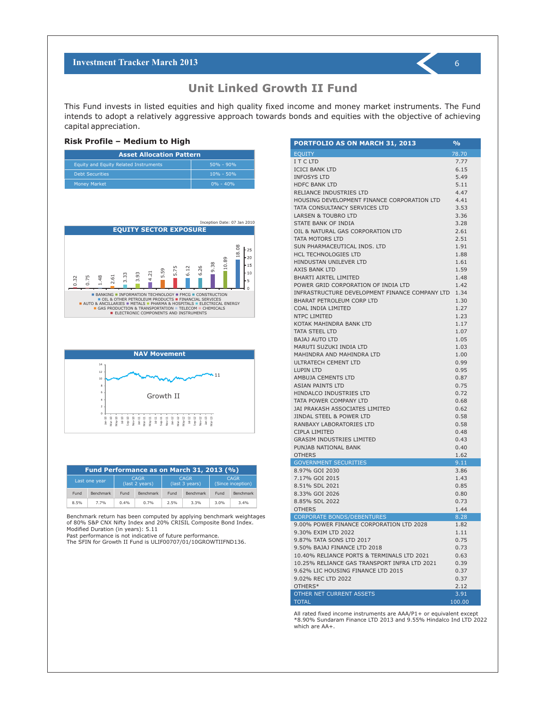This Fund invests in listed equities and high quality fixed income and money market instruments. The Fund intends to adopt a relatively aggressive approach towards bonds and equities with the objective of achieving capital appreciation.

#### **Risk Profile – Medium to High**

| <b>Asset Allocation Pattern</b>       |               |  |  |  |  |  |
|---------------------------------------|---------------|--|--|--|--|--|
| Equity and Equity Related Instruments | $50\% - 90\%$ |  |  |  |  |  |
| <b>Debt Securities</b>                | $10\% - 50\%$ |  |  |  |  |  |
| <b>Money Market</b>                   | $0\% - 40\%$  |  |  |  |  |  |





| Fund Performance as on March 31, 2013 (%) |               |                               |           |                               |                  |                                  |                  |
|-------------------------------------------|---------------|-------------------------------|-----------|-------------------------------|------------------|----------------------------------|------------------|
|                                           | Last one year | <b>CAGR</b><br>(last 2 years) |           | <b>CAGR</b><br>(last 3 years) |                  | <b>CAGR</b><br>(Since inception) |                  |
| Fund                                      | Benchmark     | Fund                          | Benchmark | Fund                          | <b>Benchmark</b> | Fund                             | <b>Benchmark</b> |
| 8.5%                                      | 7.7%          | 0.4%                          | 0.7%      | 2.5%                          | 3.3%             | 3.0%                             | 3.4%             |

Benchmark return has been computed by applying benchmark weightages of 80% S&P CNX Nifty Index and 20% CRISIL Composite Bond Index. Modified Duration (in years): 5.11

Past performance is not indicative of future performance.

The SFIN for Growth II Fund is ULIF00707/01/10GROWTIIFND136.

| <b>PORTFOLIO AS ON MARCH 31, 2013</b>          | %              |
|------------------------------------------------|----------------|
| <b>EQUITY</b>                                  | 78.70          |
| I T C LTD                                      | 7.77           |
| <b>ICICI BANK LTD</b>                          | 6.15           |
| <b>INFOSYS LTD</b>                             | 5.49           |
| <b>HDFC BANK LTD</b>                           | 5.11           |
| RELIANCE INDUSTRIES LTD                        | 4.47           |
| HOUSING DEVELOPMENT FINANCE CORPORATION LTD    | 4.41           |
| TATA CONSULTANCY SERVICES LTD                  | 3.53           |
| <b>LARSEN &amp; TOUBRO LTD</b>                 | 3.36           |
| STATE BANK OF INDIA                            | 3.28           |
| OIL & NATURAL GAS CORPORATION LTD              | 2.61           |
| TATA MOTORS LTD                                | 2.51           |
| SUN PHARMACEUTICAL INDS. LTD                   | 1.91           |
| <b>HCL TECHNOLOGIES LTD</b>                    | 1.88           |
| HINDUSTAN UNILEVER LTD                         | 1.61           |
| <b>AXIS BANK LTD</b>                           | 1.59           |
| <b>BHARTI AIRTEL LIMITED</b>                   | 1.48           |
| POWER GRID CORPORATION OF INDIA LTD            | 1.42           |
| INFRASTRUCTURE DEVELOPMENT FINANCE COMPANY LTD | 1.34           |
| <b>BHARAT PETROLEUM CORP LTD</b>               | 1.30           |
| COAL INDIA LIMITED                             | 1.27           |
| NTPC LIMITED                                   | 1.23           |
| KOTAK MAHINDRA BANK LTD                        | 1.17           |
| <b>TATA STEEL LTD</b>                          | 1.07           |
| <b>BAJAJ AUTO LTD</b>                          | 1.05           |
| MARUTI SUZUKI INDIA LTD                        | 1.03           |
| MAHINDRA AND MAHINDRA LTD                      | 1.00           |
| ULTRATECH CEMENT LTD                           | 0.99           |
| <b>LUPIN LTD</b><br>AMBUJA CEMENTS LTD         | 0.95<br>0.87   |
| <b>ASIAN PAINTS LTD</b>                        | 0.75           |
| HINDALCO INDUSTRIES LTD                        | 0.72           |
| TATA POWER COMPANY LTD                         | 0.68           |
| JAI PRAKASH ASSOCIATES LIMITED                 | 0.62           |
| JINDAL STEEL & POWER LTD                       | 0.58           |
| RANBAXY LABORATORIES LTD                       | 0.58           |
| CIPLA LIMITED                                  | 0.48           |
| <b>GRASIM INDUSTRIES LIMITED</b>               | 0.43           |
| PUNJAB NATIONAL BANK                           | 0.40           |
| <b>OTHERS</b>                                  | 1.62           |
| <b>GOVERNMENT SECURITIES</b>                   | 9.11           |
| 8.97% GOI 2030                                 | 3.86           |
| 7.17% GOI 2015                                 | 1.43           |
| 8.51% SDL 2021                                 | 0.85           |
| 8.33% GOI 2026                                 | 0.80           |
| 8.85% SDL 2022                                 | 0.73           |
| <b>OTHERS</b>                                  | 1.44           |
| <b>CORPORATE BONDS/DEBENTURES</b>              | 8.28           |
| 9.00% POWER FINANCE CORPORATION LTD 2028       | 1.82           |
| 9.30% EXIM LTD 2022                            | 1.11           |
| 9.87% TATA SONS LTD 2017                       | 0.75           |
| 9.50% BAJAJ FINANCE LTD 2018                   | 0.73           |
| 10.40% RELIANCE PORTS & TERMINALS LTD 2021     | 0.63           |
| 10.25% RELIANCE GAS TRANSPORT INFRA LTD 2021   | 0.39           |
| 9.62% LIC HOUSING FINANCE LTD 2015             | 0.37           |
| 9.02% REC LTD 2022                             | 0.37           |
| OTHERS*                                        | 2.12           |
| OTHER NET CURRENT ASSETS<br><b>TOTAL</b>       | 3.91<br>100.00 |

All rated fixed income instruments are AAA/P1+ or equivalent except \*8.90% Sundaram Finance LTD 2013 and 9.55% Hindalco Ind LTD 2022 which are AA+.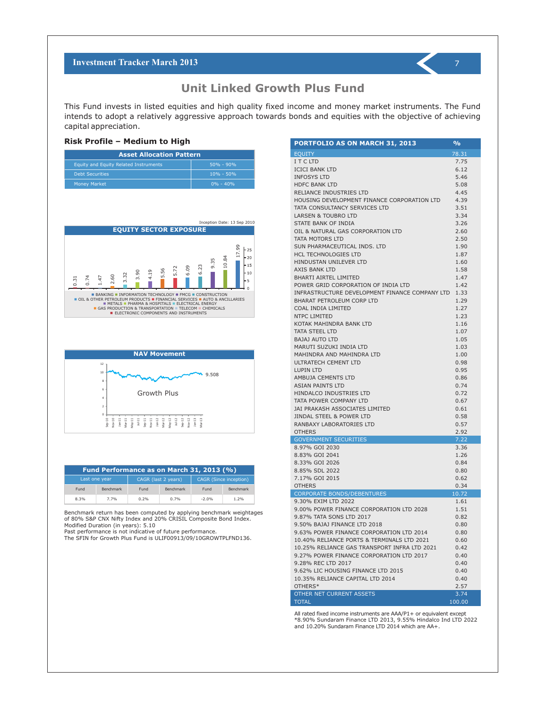

**Unit Linked Growth Plus Fund** 

This Fund invests in listed equities and high quality fixed income and money market instruments. The Fund intends to adopt a relatively aggressive approach towards bonds and equities with the objective of achieving capital appreciation.

#### **Risk Profile – Medium to High**

| <b>Asset Allocation Pattern</b>       |               |  |  |  |  |  |
|---------------------------------------|---------------|--|--|--|--|--|
| Equity and Equity Related Instruments | $50\% - 90\%$ |  |  |  |  |  |
| <b>Debt Securities</b>                | $10\% - 50\%$ |  |  |  |  |  |
| <b>Money Market</b>                   | $0\% - 40\%$  |  |  |  |  |  |





| Fund Performance as on March 31, 2013 (%) |                  |      |                     |                               |                  |  |  |
|-------------------------------------------|------------------|------|---------------------|-------------------------------|------------------|--|--|
| Last one year                             |                  |      | CAGR (last 2 years) | <b>CAGR (Since inception)</b> |                  |  |  |
| Fund                                      | <b>Benchmark</b> | Fund | <b>Benchmark</b>    | Fund                          | <b>Benchmark</b> |  |  |
| 8.3%                                      | 7.7%             | 0.2% | 0.7%                | $-2.0%$                       | 1.2%             |  |  |

Benchmark return has been computed by applying benchmark weightages of 80% S&P CNX Nifty Index and 20% CRISIL Composite Bond Index. Modified Duration (in years): 5.10

Past performance is not indicative of future performance.

The SFIN for Growth Plus Fund is ULIF00913/09/10GROWTPLFND136.

| PORTFOLIO AS ON MARCH 31, 2013                                  | $\frac{0}{0}$ |
|-----------------------------------------------------------------|---------------|
| <b>EQUITY</b>                                                   | 78.31         |
| I T C LTD                                                       | 7.75          |
| <b>ICICI BANK LTD</b>                                           | 6.12          |
| <b>INFOSYS LTD</b>                                              | 5.46          |
| <b>HDFC BANK LTD</b>                                            | 5.08          |
| RELIANCE INDUSTRIES LTD                                         | 4.45          |
| HOUSING DEVELOPMENT FINANCE CORPORATION LTD                     | 4.39          |
| TATA CONSULTANCY SERVICES LTD<br><b>LARSEN &amp; TOUBRO LTD</b> | 3.51<br>3.34  |
| STATE BANK OF INDIA                                             | 3.26          |
| OIL & NATURAL GAS CORPORATION LTD                               | 2.60          |
| TATA MOTORS LTD                                                 | 2.50          |
| SUN PHARMACEUTICAL INDS. LTD                                    | 1.90          |
| <b>HCL TECHNOLOGIES LTD</b>                                     | 1.87          |
| HINDUSTAN UNILEVER LTD                                          | 1.60          |
| AXIS BANK LTD                                                   | 1.58          |
| <b>BHARTI AIRTEL LIMITED</b>                                    | 1.47          |
| POWER GRID CORPORATION OF INDIA LTD                             | 1.42          |
| INFRASTRUCTURE DEVELOPMENT FINANCE COMPANY LTD                  | 1.33          |
| <b>BHARAT PETROLEUM CORP LTD</b>                                | 1.29          |
| COAL INDIA LIMITED                                              | 1.27          |
| NTPC LIMITED                                                    | 1.23          |
| KOTAK MAHINDRA BANK LTD<br><b>TATA STEEL LTD</b>                | 1.16<br>1.07  |
| <b>BAJAJ AUTO LTD</b>                                           | 1.05          |
| MARUTI SUZUKI INDIA LTD                                         | 1.03          |
| MAHINDRA AND MAHINDRA LTD                                       | 1.00          |
| ULTRATECH CEMENT LTD                                            | 0.98          |
| <b>LUPIN LTD</b>                                                | 0.95          |
| AMBUJA CEMENTS LTD                                              | 0.86          |
| <b>ASIAN PAINTS LTD</b>                                         | 0.74          |
| <b>HINDALCO INDUSTRIES LTD</b>                                  | 0.72          |
| TATA POWER COMPANY LTD                                          | 0.67          |
| JAI PRAKASH ASSOCIATES LIMITED                                  | 0.61          |
| JINDAL STEEL & POWER LTD                                        | 0.58          |
| RANBAXY LABORATORIES LTD                                        | 0.57          |
| <b>OTHERS</b><br><b>GOVERNMENT SECURITIES</b>                   | 2.92<br>7.22  |
| 8.97% GOI 2030                                                  | 3.36          |
| 8.83% GOI 2041                                                  | 1.26          |
| 8.33% GOI 2026                                                  | 0.84          |
| 8.85% SDL 2022                                                  | 0.80          |
| 7.17% GOI 2015                                                  | 0.62          |
| <b>OTHERS</b>                                                   | 0.34          |
| <b>CORPORATE BONDS/DEBENTURES</b>                               | 10.72         |
| 9.30% EXIM LTD 2022                                             | 1.61          |
| 9.00% POWER FINANCE CORPORATION LTD 2028                        | 1.51          |
| 9.87% TATA SONS LTD 2017<br>9.50% BAJAJ FINANCE LTD 2018        | 0.82          |
| 9.63% POWER FINANCE CORPORATION LTD 2014                        | 0.80<br>0.80  |
| 10.40% RELIANCE PORTS & TERMINALS LTD 2021                      | 0.60          |
| 10.25% RELIANCE GAS TRANSPORT INFRA LTD 2021                    | 0.42          |
| 9.27% POWER FINANCE CORPORATION LTD 2017                        | 0.40          |
| 9.28% REC LTD 2017                                              | 0.40          |
| 9.62% LIC HOUSING FINANCE LTD 2015                              | 0.40          |
| 10.35% RELIANCE CAPITAL LTD 2014                                | 0.40          |
| OTHERS*                                                         | 2.57          |
| <b>OTHER NET CURRENT ASSETS</b>                                 | 3.74          |
| <b>TOTAL</b>                                                    | 100.00        |

All rated fixed income instruments are AAA/P1+ or equivalent except \*8.90% Sundaram Finance LTD 2013, 9.55% Hindalco Ind LTD 2022 and 10.20% Sundaram Finance LTD 2014 which are AA+.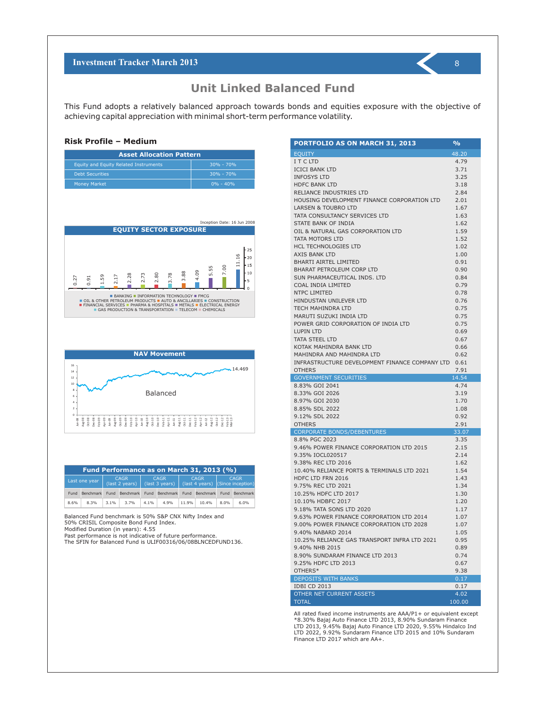This Fund adopts a relatively balanced approach towards bonds and equities exposure with the objective of achieving capital appreciation with minimal short-term performance volatility.

#### **Risk Profile – Medium**

| <b>Asset Allocation Pattern</b>       |               |  |  |  |  |
|---------------------------------------|---------------|--|--|--|--|
| Equity and Equity Related Instruments | $30\% - 70\%$ |  |  |  |  |
| <b>Debt Securities</b>                | $30\% - 70\%$ |  |  |  |  |
| <b>Money Market</b>                   | $0\% - 40\%$  |  |  |  |  |





| Fund Performance as on March 31, 2013 (%) |                                                |         |                               |      |      |             |                |                                                                   |           |
|-------------------------------------------|------------------------------------------------|---------|-------------------------------|------|------|-------------|----------------|-------------------------------------------------------------------|-----------|
|                                           | <b>CAGR</b><br>Last one year<br>(last 2 years) |         | <b>CAGR</b><br>(last 3 years) |      |      | <b>CAGR</b> |                | <b>CAGR</b><br>$\left($ (last 4 years) $\left[$ (Since inception) |           |
| Fund                                      | Benchmark                                      |         | Fund Benchmark Fund Benchmark |      |      |             | Fund Benchmark | Fund                                                              | Benchmark |
| 8.6%                                      | 8.3%                                           | $3.1\%$ | 3.7%                          | 4.1% | 4.9% | 11.9%       | 10.4%          | 8.0%                                                              | 6.0%      |

Balanced Fund benchmark is 50% S&P CNX Nifty Index and 50% CRISIL Composite Bond Fund Index.

Modified Duration (in years): 4.55

Past performance is not indicative of future performance.

The SFIN for Balanced Fund is ULIF00316/06/08BLNCEDFUND136.

| <b>PORTFOLIO AS ON MARCH 31, 2013</b>               | $\frac{1}{2}$ |
|-----------------------------------------------------|---------------|
| <b>EQUITY</b>                                       | 48.20         |
| ITCLTD                                              | 4.79          |
| <b>ICICI BANK LTD</b>                               | 3.71          |
| <b>INFOSYS LTD</b>                                  | 3.25          |
| <b>HDFC BANK LTD</b>                                | 3.18          |
| RELIANCE INDUSTRIES LTD                             | 2.84          |
| HOUSING DEVELOPMENT FINANCE CORPORATION LTD         | 2.01          |
| LARSEN & TOUBRO LTD                                 | 1.67          |
| TATA CONSULTANCY SERVICES LTD                       | 1.63          |
| STATE BANK OF INDIA                                 | 1.62          |
| OIL & NATURAL GAS CORPORATION LTD                   | 1.59          |
| TATA MOTORS LTD                                     | 1.52          |
| <b>HCL TECHNOLOGIES LTD</b>                         | 1.02          |
| AXIS BANK LTD                                       | 1.00          |
| <b>BHARTI AIRTEL LIMITED</b>                        | 0.91          |
| <b>BHARAT PETROLEUM CORP LTD</b>                    | 0.90          |
| SUN PHARMACEUTICAL INDS. LTD                        | 0.84          |
| COAL INDIA LIMITED                                  | 0.79          |
| NTPC LIMITED                                        | 0.78          |
| HINDUSTAN UNILEVER LTD                              | 0.76          |
| TECH MAHINDRA LTD                                   | 0.75          |
| MARUTI SUZUKI INDIA LTD                             | 0.75          |
| POWER GRID CORPORATION OF INDIA LTD                 | 0.75          |
| <b>LUPIN LTD</b>                                    | 0.69          |
| TATA STEEL LTD<br>KOTAK MAHINDRA BANK LTD           | 0.67<br>0.66  |
| MAHINDRA AND MAHINDRA LTD                           | 0.62          |
| INFRASTRUCTURE DEVELOPMENT FINANCE COMPANY LTD 0.61 |               |
|                                                     |               |
|                                                     |               |
| <b>OTHERS</b>                                       | 7.91          |
| <b>GOVERNMENT SECURITIES</b><br>8.83% GOI 2041      | 14.54<br>4.74 |
| 8.33% GOI 2026                                      | 3.19          |
| 8.97% GOI 2030                                      | 1.70          |
| 8.85% SDL 2022                                      | 1.08          |
| 9.12% SDL 2022                                      | 0.92          |
| <b>OTHERS</b>                                       | 2.91          |
| <b>CORPORATE BONDS/DEBENTURES</b>                   | 33.07         |
| 8.8% PGC 2023                                       | 3.35          |
| 9.46% POWER FINANCE CORPORATION LTD 2015            | 2.15          |
| 9.35% IOCL020517                                    | 2.14          |
| 9.38% REC LTD 2016                                  | 1.62          |
| 10.40% RELIANCE PORTS & TERMINALS LTD 2021          | 1.54          |
| HDFC LTD FRN 2016                                   | 1.43          |
| 9.75% REC LTD 2021                                  | 1.34          |
| 10.25% HDFC LTD 2017                                | 1.30          |
| 10.10% HDBFC 2017                                   | 1.20          |
| 9.18% TATA SONS LTD 2020                            | 1.17          |
| 9.63% POWER FINANCE CORPORATION LTD 2014            | 1.07          |
| 9.00% POWER FINANCE CORPORATION LTD 2028            | 1.07          |
| 9.40% NABARD 2014                                   | 1.05          |
| 10.25% RELIANCE GAS TRANSPORT INFRA LTD 2021        | 0.95          |
| 9.40% NHB 2015                                      | 0.89          |
| 8.90% SUNDARAM FINANCE LTD 2013                     | 0.74          |
| 9.25% HDFC LTD 2013                                 | 0.67          |
| OTHERS*                                             | 9.38          |
| DEPOSITS WITH BANKS<br><b>IDBI CD 2013</b>          | 0.17<br>0.17  |
| OTHER NET CURRENT ASSETS                            | 4.02          |

All rated fixed income instruments are AAA/P1+ or equivalent except \*8.30% Bajaj Auto Finance LTD 2013, 8.90% Sundaram Finance LTD 2013, 9.45% Bajaj Auto Finance LTD 2020, 9.55% Hindalco Ind LTD 2022, 9.92% Sundaram Finance LTD 2015 and 10% Sundaram Finance LTD 2017 which are AA+.

8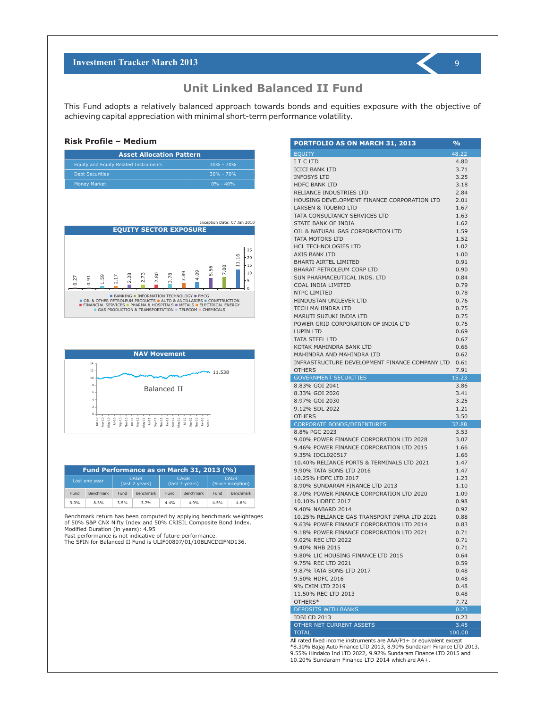This Fund adopts a relatively balanced approach towards bonds and equities exposure with the objective of achieving capital appreciation with minimal short-term performance volatility.

#### **Risk Profile – Medium**

| <b>Asset Allocation Pattern</b>       |               |  |  |  |  |  |
|---------------------------------------|---------------|--|--|--|--|--|
| Equity and Equity Related Instruments | $30\% - 70\%$ |  |  |  |  |  |
| <b>Debt Securities</b>                | $30\% - 70\%$ |  |  |  |  |  |
| <b>Money Market</b>                   | $0\% - 40\%$  |  |  |  |  |  |





| Fund Performance as on March 31, 2013 (%) |                  |                               |                  |                               |                  |                                  |           |
|-------------------------------------------|------------------|-------------------------------|------------------|-------------------------------|------------------|----------------------------------|-----------|
|                                           | Last one year    | <b>CAGR</b><br>(last 2 years) |                  | <b>CAGR</b><br>(last 3 years) |                  | <b>CAGR</b><br>(Since inception) |           |
| Fund                                      | <b>Benchmark</b> | Fund                          | <b>Benchmark</b> | Fund                          | <b>Benchmark</b> | Fund                             | Benchmark |
| 9.0%                                      | 8.3%             | 3.5%                          | 3.7%             | 4.4%                          | 4.9%             | 4.5%                             | 4.8%      |

Benchmark return has been computed by applying benchmark weightages of 50% S&P CNX Nifty Index and 50% CRISIL Composite Bond Index. Modified Duration (in years): 4.95

Past performance is not indicative of future performance.

The SFIN for Balanced II Fund is ULIF00807/01/10BLNCDIIFND136.

| <b>EQUITY</b><br>48.22<br>I T C LTD<br>4.80<br><b>ICICI BANK LTD</b><br>3.71<br><b>INFOSYS LTD</b><br>3.25<br><b>HDFC BANK LTD</b><br>3.18<br>RELIANCE INDUSTRIES LTD<br>2.84<br>HOUSING DEVELOPMENT FINANCE CORPORATION LTD<br>2.01<br>LARSEN & TOUBRO LTD<br>1.67<br>TATA CONSULTANCY SERVICES LTD<br>1.63<br>STATE BANK OF INDIA<br>1.62<br>OIL & NATURAL GAS CORPORATION LTD<br>1.59<br>TATA MOTORS LTD<br>1.52<br><b>HCL TECHNOLOGIES LTD</b><br>1.02<br>AXIS BANK LTD<br>1.00<br><b>BHARTI AIRTEL LIMITED</b><br>0.91<br><b>BHARAT PETROLEUM CORP LTD</b><br>0.90<br>SUN PHARMACEUTICAL INDS. LTD<br>0.84<br>COAL INDIA LIMITED<br>0.79<br><b>NTPC LIMITED</b><br>0.78<br><b>HINDUSTAN UNILEVER LTD</b><br>0.76<br>TECH MAHINDRA LTD<br>0.75<br>MARUTI SUZUKI INDIA LTD<br>0.75<br>POWER GRID CORPORATION OF INDIA LTD<br>0.75<br><b>LUPIN LTD</b><br>0.69<br><b>TATA STEEL LTD</b><br>0.67<br>KOTAK MAHINDRA BANK LTD<br>0.66<br>MAHINDRA AND MAHINDRA LTD<br>0.62<br>INFRASTRUCTURE DEVELOPMENT FINANCE COMPANY LTD<br>0.61<br><b>OTHERS</b><br>7.91<br><b>GOVERNMENT SECURITIES</b><br>15.23<br>8.83% GOI 2041<br>3.86<br>8.33% GOI 2026<br>3.41<br>8.97% GOI 2030<br>3.25<br>9.12% SDL 2022<br>1.21<br>3.50<br><b>OTHERS</b><br><b>CORPORATE BONDS/DEBENTURES</b><br>32.88<br>8.8% PGC 2023<br>3.53<br>9.00% POWER FINANCE CORPORATION LTD 2028<br>3.07<br>9.46% POWER FINANCE CORPORATION LTD 2015<br>1.66<br>1.66<br>9.35% IOCL020517<br>10.40% RELIANCE PORTS & TERMINALS LTD 2021<br>1.47<br>9.90% TATA SONS LTD 2016<br>1.47<br>10.25% HDFC LTD 2017<br>1.23<br>8.90% SUNDARAM FINANCE LTD 2013<br>1.10<br>8.70% POWER FINANCE CORPORATION LTD 2020<br>1.09<br>10.10% HDBFC 2017<br>0.98<br>9.40% NABARD 2014<br>0.92<br>10.25% RELIANCE GAS TRANSPORT INFRA LTD 2021<br>0.88<br>9.63% POWER FINANCE CORPORATION LTD 2014<br>0.83<br>9.18% POWER FINANCE CORPORATION LTD 2021<br>0.71<br>9.02% REC LTD 2022<br>0.71<br>9.40% NHB 2015<br>0.71<br>9.80% LIC HOUSING FINANCE LTD 2015<br>0.64<br>9.75% REC LTD 2021<br>0.59<br>9.87% TATA SONS LTD 2017<br>0.48<br>9.50% HDFC 2016<br>0.48<br>9% EXIM LTD 2019<br>0.48<br>11.50% REC LTD 2013<br>0.48<br>OTHERS*<br>7.72<br><b>DEPOSITS WITH BANKS</b><br>0.23<br><b>IDBI CD 2013</b><br>0.23<br>OTHER NET CURRENT ASSETS<br>3.45<br><b>TOTAL</b><br>100.00 | <b>PORTFOLIO AS ON MARCH 31, 2013</b> | % |
|--------------------------------------------------------------------------------------------------------------------------------------------------------------------------------------------------------------------------------------------------------------------------------------------------------------------------------------------------------------------------------------------------------------------------------------------------------------------------------------------------------------------------------------------------------------------------------------------------------------------------------------------------------------------------------------------------------------------------------------------------------------------------------------------------------------------------------------------------------------------------------------------------------------------------------------------------------------------------------------------------------------------------------------------------------------------------------------------------------------------------------------------------------------------------------------------------------------------------------------------------------------------------------------------------------------------------------------------------------------------------------------------------------------------------------------------------------------------------------------------------------------------------------------------------------------------------------------------------------------------------------------------------------------------------------------------------------------------------------------------------------------------------------------------------------------------------------------------------------------------------------------------------------------------------------------------------------------------------------------------------------------------------------------------------------------------------------------------------------------------------------------------------------------------------------------------------------------------------------------------------------------------------------------------------------------------------|---------------------------------------|---|
|                                                                                                                                                                                                                                                                                                                                                                                                                                                                                                                                                                                                                                                                                                                                                                                                                                                                                                                                                                                                                                                                                                                                                                                                                                                                                                                                                                                                                                                                                                                                                                                                                                                                                                                                                                                                                                                                                                                                                                                                                                                                                                                                                                                                                                                                                                                          |                                       |   |
|                                                                                                                                                                                                                                                                                                                                                                                                                                                                                                                                                                                                                                                                                                                                                                                                                                                                                                                                                                                                                                                                                                                                                                                                                                                                                                                                                                                                                                                                                                                                                                                                                                                                                                                                                                                                                                                                                                                                                                                                                                                                                                                                                                                                                                                                                                                          |                                       |   |
|                                                                                                                                                                                                                                                                                                                                                                                                                                                                                                                                                                                                                                                                                                                                                                                                                                                                                                                                                                                                                                                                                                                                                                                                                                                                                                                                                                                                                                                                                                                                                                                                                                                                                                                                                                                                                                                                                                                                                                                                                                                                                                                                                                                                                                                                                                                          |                                       |   |
|                                                                                                                                                                                                                                                                                                                                                                                                                                                                                                                                                                                                                                                                                                                                                                                                                                                                                                                                                                                                                                                                                                                                                                                                                                                                                                                                                                                                                                                                                                                                                                                                                                                                                                                                                                                                                                                                                                                                                                                                                                                                                                                                                                                                                                                                                                                          |                                       |   |
|                                                                                                                                                                                                                                                                                                                                                                                                                                                                                                                                                                                                                                                                                                                                                                                                                                                                                                                                                                                                                                                                                                                                                                                                                                                                                                                                                                                                                                                                                                                                                                                                                                                                                                                                                                                                                                                                                                                                                                                                                                                                                                                                                                                                                                                                                                                          |                                       |   |
|                                                                                                                                                                                                                                                                                                                                                                                                                                                                                                                                                                                                                                                                                                                                                                                                                                                                                                                                                                                                                                                                                                                                                                                                                                                                                                                                                                                                                                                                                                                                                                                                                                                                                                                                                                                                                                                                                                                                                                                                                                                                                                                                                                                                                                                                                                                          |                                       |   |
|                                                                                                                                                                                                                                                                                                                                                                                                                                                                                                                                                                                                                                                                                                                                                                                                                                                                                                                                                                                                                                                                                                                                                                                                                                                                                                                                                                                                                                                                                                                                                                                                                                                                                                                                                                                                                                                                                                                                                                                                                                                                                                                                                                                                                                                                                                                          |                                       |   |
|                                                                                                                                                                                                                                                                                                                                                                                                                                                                                                                                                                                                                                                                                                                                                                                                                                                                                                                                                                                                                                                                                                                                                                                                                                                                                                                                                                                                                                                                                                                                                                                                                                                                                                                                                                                                                                                                                                                                                                                                                                                                                                                                                                                                                                                                                                                          |                                       |   |
|                                                                                                                                                                                                                                                                                                                                                                                                                                                                                                                                                                                                                                                                                                                                                                                                                                                                                                                                                                                                                                                                                                                                                                                                                                                                                                                                                                                                                                                                                                                                                                                                                                                                                                                                                                                                                                                                                                                                                                                                                                                                                                                                                                                                                                                                                                                          |                                       |   |
|                                                                                                                                                                                                                                                                                                                                                                                                                                                                                                                                                                                                                                                                                                                                                                                                                                                                                                                                                                                                                                                                                                                                                                                                                                                                                                                                                                                                                                                                                                                                                                                                                                                                                                                                                                                                                                                                                                                                                                                                                                                                                                                                                                                                                                                                                                                          |                                       |   |
|                                                                                                                                                                                                                                                                                                                                                                                                                                                                                                                                                                                                                                                                                                                                                                                                                                                                                                                                                                                                                                                                                                                                                                                                                                                                                                                                                                                                                                                                                                                                                                                                                                                                                                                                                                                                                                                                                                                                                                                                                                                                                                                                                                                                                                                                                                                          |                                       |   |
|                                                                                                                                                                                                                                                                                                                                                                                                                                                                                                                                                                                                                                                                                                                                                                                                                                                                                                                                                                                                                                                                                                                                                                                                                                                                                                                                                                                                                                                                                                                                                                                                                                                                                                                                                                                                                                                                                                                                                                                                                                                                                                                                                                                                                                                                                                                          |                                       |   |
|                                                                                                                                                                                                                                                                                                                                                                                                                                                                                                                                                                                                                                                                                                                                                                                                                                                                                                                                                                                                                                                                                                                                                                                                                                                                                                                                                                                                                                                                                                                                                                                                                                                                                                                                                                                                                                                                                                                                                                                                                                                                                                                                                                                                                                                                                                                          |                                       |   |
|                                                                                                                                                                                                                                                                                                                                                                                                                                                                                                                                                                                                                                                                                                                                                                                                                                                                                                                                                                                                                                                                                                                                                                                                                                                                                                                                                                                                                                                                                                                                                                                                                                                                                                                                                                                                                                                                                                                                                                                                                                                                                                                                                                                                                                                                                                                          |                                       |   |
|                                                                                                                                                                                                                                                                                                                                                                                                                                                                                                                                                                                                                                                                                                                                                                                                                                                                                                                                                                                                                                                                                                                                                                                                                                                                                                                                                                                                                                                                                                                                                                                                                                                                                                                                                                                                                                                                                                                                                                                                                                                                                                                                                                                                                                                                                                                          |                                       |   |
|                                                                                                                                                                                                                                                                                                                                                                                                                                                                                                                                                                                                                                                                                                                                                                                                                                                                                                                                                                                                                                                                                                                                                                                                                                                                                                                                                                                                                                                                                                                                                                                                                                                                                                                                                                                                                                                                                                                                                                                                                                                                                                                                                                                                                                                                                                                          |                                       |   |
|                                                                                                                                                                                                                                                                                                                                                                                                                                                                                                                                                                                                                                                                                                                                                                                                                                                                                                                                                                                                                                                                                                                                                                                                                                                                                                                                                                                                                                                                                                                                                                                                                                                                                                                                                                                                                                                                                                                                                                                                                                                                                                                                                                                                                                                                                                                          |                                       |   |
|                                                                                                                                                                                                                                                                                                                                                                                                                                                                                                                                                                                                                                                                                                                                                                                                                                                                                                                                                                                                                                                                                                                                                                                                                                                                                                                                                                                                                                                                                                                                                                                                                                                                                                                                                                                                                                                                                                                                                                                                                                                                                                                                                                                                                                                                                                                          |                                       |   |
|                                                                                                                                                                                                                                                                                                                                                                                                                                                                                                                                                                                                                                                                                                                                                                                                                                                                                                                                                                                                                                                                                                                                                                                                                                                                                                                                                                                                                                                                                                                                                                                                                                                                                                                                                                                                                                                                                                                                                                                                                                                                                                                                                                                                                                                                                                                          |                                       |   |
|                                                                                                                                                                                                                                                                                                                                                                                                                                                                                                                                                                                                                                                                                                                                                                                                                                                                                                                                                                                                                                                                                                                                                                                                                                                                                                                                                                                                                                                                                                                                                                                                                                                                                                                                                                                                                                                                                                                                                                                                                                                                                                                                                                                                                                                                                                                          |                                       |   |
|                                                                                                                                                                                                                                                                                                                                                                                                                                                                                                                                                                                                                                                                                                                                                                                                                                                                                                                                                                                                                                                                                                                                                                                                                                                                                                                                                                                                                                                                                                                                                                                                                                                                                                                                                                                                                                                                                                                                                                                                                                                                                                                                                                                                                                                                                                                          |                                       |   |
|                                                                                                                                                                                                                                                                                                                                                                                                                                                                                                                                                                                                                                                                                                                                                                                                                                                                                                                                                                                                                                                                                                                                                                                                                                                                                                                                                                                                                                                                                                                                                                                                                                                                                                                                                                                                                                                                                                                                                                                                                                                                                                                                                                                                                                                                                                                          |                                       |   |
|                                                                                                                                                                                                                                                                                                                                                                                                                                                                                                                                                                                                                                                                                                                                                                                                                                                                                                                                                                                                                                                                                                                                                                                                                                                                                                                                                                                                                                                                                                                                                                                                                                                                                                                                                                                                                                                                                                                                                                                                                                                                                                                                                                                                                                                                                                                          |                                       |   |
|                                                                                                                                                                                                                                                                                                                                                                                                                                                                                                                                                                                                                                                                                                                                                                                                                                                                                                                                                                                                                                                                                                                                                                                                                                                                                                                                                                                                                                                                                                                                                                                                                                                                                                                                                                                                                                                                                                                                                                                                                                                                                                                                                                                                                                                                                                                          |                                       |   |
|                                                                                                                                                                                                                                                                                                                                                                                                                                                                                                                                                                                                                                                                                                                                                                                                                                                                                                                                                                                                                                                                                                                                                                                                                                                                                                                                                                                                                                                                                                                                                                                                                                                                                                                                                                                                                                                                                                                                                                                                                                                                                                                                                                                                                                                                                                                          |                                       |   |
|                                                                                                                                                                                                                                                                                                                                                                                                                                                                                                                                                                                                                                                                                                                                                                                                                                                                                                                                                                                                                                                                                                                                                                                                                                                                                                                                                                                                                                                                                                                                                                                                                                                                                                                                                                                                                                                                                                                                                                                                                                                                                                                                                                                                                                                                                                                          |                                       |   |
|                                                                                                                                                                                                                                                                                                                                                                                                                                                                                                                                                                                                                                                                                                                                                                                                                                                                                                                                                                                                                                                                                                                                                                                                                                                                                                                                                                                                                                                                                                                                                                                                                                                                                                                                                                                                                                                                                                                                                                                                                                                                                                                                                                                                                                                                                                                          |                                       |   |
|                                                                                                                                                                                                                                                                                                                                                                                                                                                                                                                                                                                                                                                                                                                                                                                                                                                                                                                                                                                                                                                                                                                                                                                                                                                                                                                                                                                                                                                                                                                                                                                                                                                                                                                                                                                                                                                                                                                                                                                                                                                                                                                                                                                                                                                                                                                          |                                       |   |
|                                                                                                                                                                                                                                                                                                                                                                                                                                                                                                                                                                                                                                                                                                                                                                                                                                                                                                                                                                                                                                                                                                                                                                                                                                                                                                                                                                                                                                                                                                                                                                                                                                                                                                                                                                                                                                                                                                                                                                                                                                                                                                                                                                                                                                                                                                                          |                                       |   |
|                                                                                                                                                                                                                                                                                                                                                                                                                                                                                                                                                                                                                                                                                                                                                                                                                                                                                                                                                                                                                                                                                                                                                                                                                                                                                                                                                                                                                                                                                                                                                                                                                                                                                                                                                                                                                                                                                                                                                                                                                                                                                                                                                                                                                                                                                                                          |                                       |   |
|                                                                                                                                                                                                                                                                                                                                                                                                                                                                                                                                                                                                                                                                                                                                                                                                                                                                                                                                                                                                                                                                                                                                                                                                                                                                                                                                                                                                                                                                                                                                                                                                                                                                                                                                                                                                                                                                                                                                                                                                                                                                                                                                                                                                                                                                                                                          |                                       |   |
|                                                                                                                                                                                                                                                                                                                                                                                                                                                                                                                                                                                                                                                                                                                                                                                                                                                                                                                                                                                                                                                                                                                                                                                                                                                                                                                                                                                                                                                                                                                                                                                                                                                                                                                                                                                                                                                                                                                                                                                                                                                                                                                                                                                                                                                                                                                          |                                       |   |
|                                                                                                                                                                                                                                                                                                                                                                                                                                                                                                                                                                                                                                                                                                                                                                                                                                                                                                                                                                                                                                                                                                                                                                                                                                                                                                                                                                                                                                                                                                                                                                                                                                                                                                                                                                                                                                                                                                                                                                                                                                                                                                                                                                                                                                                                                                                          |                                       |   |
|                                                                                                                                                                                                                                                                                                                                                                                                                                                                                                                                                                                                                                                                                                                                                                                                                                                                                                                                                                                                                                                                                                                                                                                                                                                                                                                                                                                                                                                                                                                                                                                                                                                                                                                                                                                                                                                                                                                                                                                                                                                                                                                                                                                                                                                                                                                          |                                       |   |
|                                                                                                                                                                                                                                                                                                                                                                                                                                                                                                                                                                                                                                                                                                                                                                                                                                                                                                                                                                                                                                                                                                                                                                                                                                                                                                                                                                                                                                                                                                                                                                                                                                                                                                                                                                                                                                                                                                                                                                                                                                                                                                                                                                                                                                                                                                                          |                                       |   |
|                                                                                                                                                                                                                                                                                                                                                                                                                                                                                                                                                                                                                                                                                                                                                                                                                                                                                                                                                                                                                                                                                                                                                                                                                                                                                                                                                                                                                                                                                                                                                                                                                                                                                                                                                                                                                                                                                                                                                                                                                                                                                                                                                                                                                                                                                                                          |                                       |   |
|                                                                                                                                                                                                                                                                                                                                                                                                                                                                                                                                                                                                                                                                                                                                                                                                                                                                                                                                                                                                                                                                                                                                                                                                                                                                                                                                                                                                                                                                                                                                                                                                                                                                                                                                                                                                                                                                                                                                                                                                                                                                                                                                                                                                                                                                                                                          |                                       |   |
|                                                                                                                                                                                                                                                                                                                                                                                                                                                                                                                                                                                                                                                                                                                                                                                                                                                                                                                                                                                                                                                                                                                                                                                                                                                                                                                                                                                                                                                                                                                                                                                                                                                                                                                                                                                                                                                                                                                                                                                                                                                                                                                                                                                                                                                                                                                          |                                       |   |
|                                                                                                                                                                                                                                                                                                                                                                                                                                                                                                                                                                                                                                                                                                                                                                                                                                                                                                                                                                                                                                                                                                                                                                                                                                                                                                                                                                                                                                                                                                                                                                                                                                                                                                                                                                                                                                                                                                                                                                                                                                                                                                                                                                                                                                                                                                                          |                                       |   |
|                                                                                                                                                                                                                                                                                                                                                                                                                                                                                                                                                                                                                                                                                                                                                                                                                                                                                                                                                                                                                                                                                                                                                                                                                                                                                                                                                                                                                                                                                                                                                                                                                                                                                                                                                                                                                                                                                                                                                                                                                                                                                                                                                                                                                                                                                                                          |                                       |   |
|                                                                                                                                                                                                                                                                                                                                                                                                                                                                                                                                                                                                                                                                                                                                                                                                                                                                                                                                                                                                                                                                                                                                                                                                                                                                                                                                                                                                                                                                                                                                                                                                                                                                                                                                                                                                                                                                                                                                                                                                                                                                                                                                                                                                                                                                                                                          |                                       |   |
|                                                                                                                                                                                                                                                                                                                                                                                                                                                                                                                                                                                                                                                                                                                                                                                                                                                                                                                                                                                                                                                                                                                                                                                                                                                                                                                                                                                                                                                                                                                                                                                                                                                                                                                                                                                                                                                                                                                                                                                                                                                                                                                                                                                                                                                                                                                          |                                       |   |
|                                                                                                                                                                                                                                                                                                                                                                                                                                                                                                                                                                                                                                                                                                                                                                                                                                                                                                                                                                                                                                                                                                                                                                                                                                                                                                                                                                                                                                                                                                                                                                                                                                                                                                                                                                                                                                                                                                                                                                                                                                                                                                                                                                                                                                                                                                                          |                                       |   |
|                                                                                                                                                                                                                                                                                                                                                                                                                                                                                                                                                                                                                                                                                                                                                                                                                                                                                                                                                                                                                                                                                                                                                                                                                                                                                                                                                                                                                                                                                                                                                                                                                                                                                                                                                                                                                                                                                                                                                                                                                                                                                                                                                                                                                                                                                                                          |                                       |   |
|                                                                                                                                                                                                                                                                                                                                                                                                                                                                                                                                                                                                                                                                                                                                                                                                                                                                                                                                                                                                                                                                                                                                                                                                                                                                                                                                                                                                                                                                                                                                                                                                                                                                                                                                                                                                                                                                                                                                                                                                                                                                                                                                                                                                                                                                                                                          |                                       |   |
|                                                                                                                                                                                                                                                                                                                                                                                                                                                                                                                                                                                                                                                                                                                                                                                                                                                                                                                                                                                                                                                                                                                                                                                                                                                                                                                                                                                                                                                                                                                                                                                                                                                                                                                                                                                                                                                                                                                                                                                                                                                                                                                                                                                                                                                                                                                          |                                       |   |
|                                                                                                                                                                                                                                                                                                                                                                                                                                                                                                                                                                                                                                                                                                                                                                                                                                                                                                                                                                                                                                                                                                                                                                                                                                                                                                                                                                                                                                                                                                                                                                                                                                                                                                                                                                                                                                                                                                                                                                                                                                                                                                                                                                                                                                                                                                                          |                                       |   |
|                                                                                                                                                                                                                                                                                                                                                                                                                                                                                                                                                                                                                                                                                                                                                                                                                                                                                                                                                                                                                                                                                                                                                                                                                                                                                                                                                                                                                                                                                                                                                                                                                                                                                                                                                                                                                                                                                                                                                                                                                                                                                                                                                                                                                                                                                                                          |                                       |   |
|                                                                                                                                                                                                                                                                                                                                                                                                                                                                                                                                                                                                                                                                                                                                                                                                                                                                                                                                                                                                                                                                                                                                                                                                                                                                                                                                                                                                                                                                                                                                                                                                                                                                                                                                                                                                                                                                                                                                                                                                                                                                                                                                                                                                                                                                                                                          |                                       |   |
|                                                                                                                                                                                                                                                                                                                                                                                                                                                                                                                                                                                                                                                                                                                                                                                                                                                                                                                                                                                                                                                                                                                                                                                                                                                                                                                                                                                                                                                                                                                                                                                                                                                                                                                                                                                                                                                                                                                                                                                                                                                                                                                                                                                                                                                                                                                          |                                       |   |
|                                                                                                                                                                                                                                                                                                                                                                                                                                                                                                                                                                                                                                                                                                                                                                                                                                                                                                                                                                                                                                                                                                                                                                                                                                                                                                                                                                                                                                                                                                                                                                                                                                                                                                                                                                                                                                                                                                                                                                                                                                                                                                                                                                                                                                                                                                                          |                                       |   |
|                                                                                                                                                                                                                                                                                                                                                                                                                                                                                                                                                                                                                                                                                                                                                                                                                                                                                                                                                                                                                                                                                                                                                                                                                                                                                                                                                                                                                                                                                                                                                                                                                                                                                                                                                                                                                                                                                                                                                                                                                                                                                                                                                                                                                                                                                                                          |                                       |   |
|                                                                                                                                                                                                                                                                                                                                                                                                                                                                                                                                                                                                                                                                                                                                                                                                                                                                                                                                                                                                                                                                                                                                                                                                                                                                                                                                                                                                                                                                                                                                                                                                                                                                                                                                                                                                                                                                                                                                                                                                                                                                                                                                                                                                                                                                                                                          |                                       |   |
|                                                                                                                                                                                                                                                                                                                                                                                                                                                                                                                                                                                                                                                                                                                                                                                                                                                                                                                                                                                                                                                                                                                                                                                                                                                                                                                                                                                                                                                                                                                                                                                                                                                                                                                                                                                                                                                                                                                                                                                                                                                                                                                                                                                                                                                                                                                          |                                       |   |
|                                                                                                                                                                                                                                                                                                                                                                                                                                                                                                                                                                                                                                                                                                                                                                                                                                                                                                                                                                                                                                                                                                                                                                                                                                                                                                                                                                                                                                                                                                                                                                                                                                                                                                                                                                                                                                                                                                                                                                                                                                                                                                                                                                                                                                                                                                                          |                                       |   |
|                                                                                                                                                                                                                                                                                                                                                                                                                                                                                                                                                                                                                                                                                                                                                                                                                                                                                                                                                                                                                                                                                                                                                                                                                                                                                                                                                                                                                                                                                                                                                                                                                                                                                                                                                                                                                                                                                                                                                                                                                                                                                                                                                                                                                                                                                                                          |                                       |   |
|                                                                                                                                                                                                                                                                                                                                                                                                                                                                                                                                                                                                                                                                                                                                                                                                                                                                                                                                                                                                                                                                                                                                                                                                                                                                                                                                                                                                                                                                                                                                                                                                                                                                                                                                                                                                                                                                                                                                                                                                                                                                                                                                                                                                                                                                                                                          |                                       |   |
|                                                                                                                                                                                                                                                                                                                                                                                                                                                                                                                                                                                                                                                                                                                                                                                                                                                                                                                                                                                                                                                                                                                                                                                                                                                                                                                                                                                                                                                                                                                                                                                                                                                                                                                                                                                                                                                                                                                                                                                                                                                                                                                                                                                                                                                                                                                          |                                       |   |
|                                                                                                                                                                                                                                                                                                                                                                                                                                                                                                                                                                                                                                                                                                                                                                                                                                                                                                                                                                                                                                                                                                                                                                                                                                                                                                                                                                                                                                                                                                                                                                                                                                                                                                                                                                                                                                                                                                                                                                                                                                                                                                                                                                                                                                                                                                                          |                                       |   |
|                                                                                                                                                                                                                                                                                                                                                                                                                                                                                                                                                                                                                                                                                                                                                                                                                                                                                                                                                                                                                                                                                                                                                                                                                                                                                                                                                                                                                                                                                                                                                                                                                                                                                                                                                                                                                                                                                                                                                                                                                                                                                                                                                                                                                                                                                                                          |                                       |   |
|                                                                                                                                                                                                                                                                                                                                                                                                                                                                                                                                                                                                                                                                                                                                                                                                                                                                                                                                                                                                                                                                                                                                                                                                                                                                                                                                                                                                                                                                                                                                                                                                                                                                                                                                                                                                                                                                                                                                                                                                                                                                                                                                                                                                                                                                                                                          |                                       |   |
|                                                                                                                                                                                                                                                                                                                                                                                                                                                                                                                                                                                                                                                                                                                                                                                                                                                                                                                                                                                                                                                                                                                                                                                                                                                                                                                                                                                                                                                                                                                                                                                                                                                                                                                                                                                                                                                                                                                                                                                                                                                                                                                                                                                                                                                                                                                          |                                       |   |

All rated fixed income instruments are AAA/P1+ or equivalent except \*8.30% Bajaj Auto Finance LTD 2013, 8.90% Sundaram Finance LTD 2013, 9.55% Hindalco Ind LTD 2022, 9.92% Sundaram Finance LTD 2015 and 10.20% Sundaram Finance LTD 2014 which are AA+.

9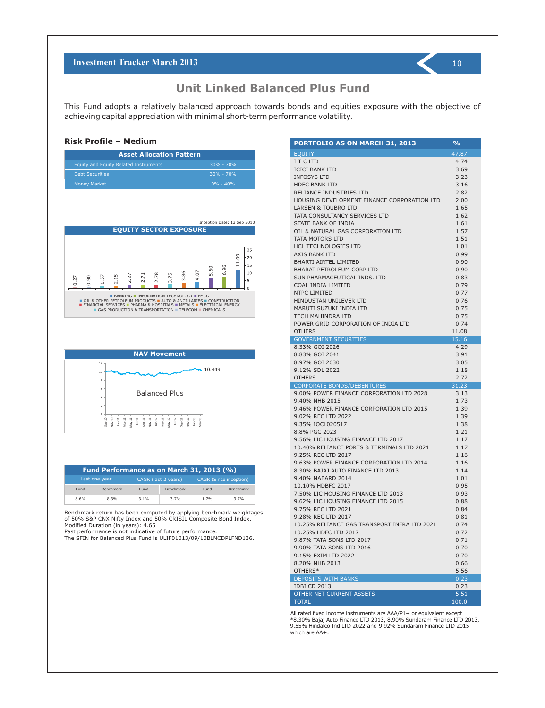This Fund adopts a relatively balanced approach towards bonds and equities exposure with the objective of achieving capital appreciation with minimal short-term performance volatility.

#### **Risk Profile – Medium**

| <b>Asset Allocation Pattern</b>       |               |  |  |  |  |  |
|---------------------------------------|---------------|--|--|--|--|--|
| Equity and Equity Related Instruments | $30\% - 70\%$ |  |  |  |  |  |
| <b>Debt Securities</b>                | $30\% - 70\%$ |  |  |  |  |  |
| <b>Money Market</b>                   | $0\% - 40\%$  |  |  |  |  |  |





| Fund Performance as on March 31, 2013 (%) |                  |         |                     |                               |           |  |  |
|-------------------------------------------|------------------|---------|---------------------|-------------------------------|-----------|--|--|
|                                           | Last one year    |         | CAGR (last 2 years) | <b>CAGR</b> (Since inception) |           |  |  |
| Fund                                      | <b>Benchmark</b> | Fund    | Benchmark           | Fund                          | Benchmark |  |  |
| 8.6%                                      | 8.3%             | $3.1\%$ | 3.7%                | 1.7%                          | 3.7%      |  |  |

Benchmark return has been computed by applying benchmark weightages of 50% S&P CNX Nifty Index and 50% CRISIL Composite Bond Index. Modified Duration (in years): 4.65

Past performance is not indicative of future performance.

The SFIN for Balanced Plus Fund is ULIF01013/09/10BLNCDPLFND136.

| <b>PORTFOLIO AS ON MARCH 31, 2013</b>                            | $\frac{0}{0}$ |
|------------------------------------------------------------------|---------------|
| <b>EQUITY</b>                                                    | 47.87         |
| I T C LTD                                                        | 4.74          |
| <b>ICICI BANK LTD</b>                                            | 3.69          |
| <b>INFOSYS LTD</b>                                               | 3.23          |
| <b>HDFC BANK LTD</b>                                             | 3.16          |
| RELIANCE INDUSTRIES LTD                                          | 2.82          |
| HOUSING DEVELOPMENT FINANCE CORPORATION LTD                      | 2.00          |
| <b>LARSEN &amp; TOUBRO LTD</b>                                   | 1.65          |
| TATA CONSULTANCY SERVICES LTD                                    | 1.62          |
| STATE BANK OF INDIA                                              | 1.61          |
| OIL & NATURAL GAS CORPORATION LTD                                | 1.57          |
| TATA MOTORS LTD                                                  | 1.51          |
| <b>HCL TECHNOLOGIES LTD</b>                                      | 1.01          |
| AXIS BANK LTD                                                    | 0.99          |
| <b>BHARTI AIRTEL LIMITED</b>                                     | 0.90          |
| <b>BHARAT PETROLEUM CORP LTD</b><br>SUN PHARMACEUTICAL INDS. LTD | 0.90<br>0.83  |
| COAL INDIA LIMITED                                               | 0.79          |
| NTPC LIMITED                                                     | 0.77          |
| HINDUSTAN UNILEVER LTD                                           | 0.76          |
| MARUTI SUZUKI INDIA LTD                                          | 0.75          |
| <b>TECH MAHINDRA LTD</b>                                         | 0.75          |
| POWER GRID CORPORATION OF INDIA LTD                              | 0.74          |
| <b>OTHERS</b>                                                    | 11.08         |
| <b>GOVERNMENT SECURITIES</b>                                     | 15.16         |
| 8.33% GOI 2026                                                   | 4.29          |
| 8.83% GOI 2041                                                   | 3.91          |
| 8.97% GOI 2030                                                   | 3.05          |
| 9.12% SDL 2022                                                   | 1.18          |
| <b>OTHERS</b>                                                    | 2.72          |
| <b>CORPORATE BONDS/DEBENTURES</b>                                | 31.23         |
| 9.00% POWER FINANCE CORPORATION LTD 2028                         | 3.13          |
| 9.40% NHB 2015                                                   | 1.73          |
| 9.46% POWER FINANCE CORPORATION LTD 2015                         | 1.39          |
| 9.02% REC LTD 2022<br>9.35% IOCL020517                           | 1.39<br>1.38  |
| 8.8% PGC 2023                                                    | 1.21          |
| 9.56% LIC HOUSING FINANCE LTD 2017                               | 1.17          |
| 10.40% RELIANCE PORTS & TERMINALS LTD 2021                       | 1.17          |
| 9.25% REC LTD 2017                                               | 1.16          |
| 9.63% POWER FINANCE CORPORATION LTD 2014                         | 1.16          |
| 8.30% BAJAJ AUTO FINANCE LTD 2013                                | 1.14          |
| 9.40% NABARD 2014                                                | 1.01          |
| 10.10% HDBFC 2017                                                | 0.95          |
| 7.50% LIC HOUSING FINANCE LTD 2013                               | 0.93          |
| 9.62% LIC HOUSING FINANCE LTD 2015                               | 0.88          |
| 9.75% REC LTD 2021                                               | 0.84          |
| 9.28% REC LTD 2017                                               | 0.81          |
| 10.25% RELIANCE GAS TRANSPORT INFRA LTD 2021                     | 0.74          |
| 10.25% HDFC LTD 2017                                             | 0.72          |
| 9.87% TATA SONS LTD 2017                                         | 0.71          |
| 9.90% TATA SONS LTD 2016                                         | 0.70          |
| 9.15% EXIM LTD 2022                                              | 0.70          |
| 8.20% NHB 2013                                                   | 0.66          |
| OTHERS*                                                          | 5.56          |
| <b>DEPOSITS WITH BANKS</b>                                       | 0.23          |
| <b>IDBI CD 2013</b><br>OTHER NET CURRENT ASSETS                  | 0.23<br>5.51  |
| <b>TOTAL</b>                                                     | 100.0         |
|                                                                  |               |

All rated fixed income instruments are AAA/P1+ or equivalent except \*8.30% Bajaj Auto Finance LTD 2013, 8.90% Sundaram Finance LTD 2013, 9.55% Hindalco Ind LTD 2022 and 9.92% Sundaram Finance LTD 2015 which are AA+.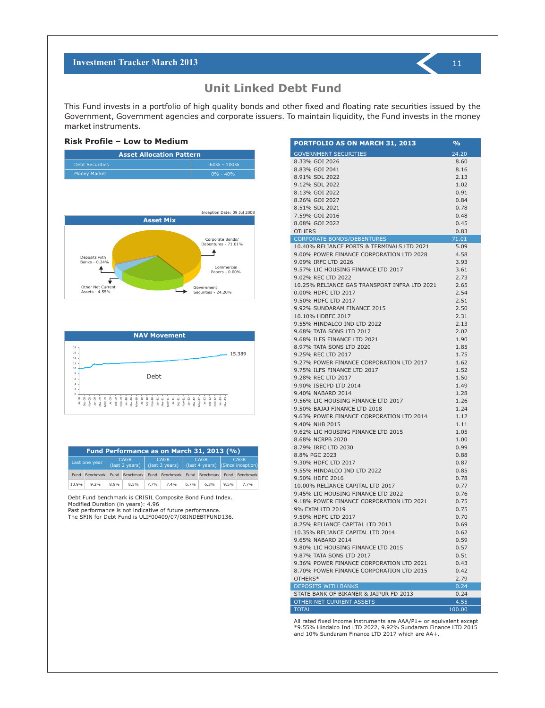### **Unit Linked Debt Fund**

This Fund invests in a portfolio of high quality bonds and other fixed and floating rate securities issued by the Government, Government agencies and corporate issuers. To maintain liquidity, the Fund invests in the money market instruments.

#### **Risk Profile – Low to Medium**







| Fund Performance as on March 31, 2013 (%) |               |      |                               |                                                                                                                                            |                |      |                |             |                  |
|-------------------------------------------|---------------|------|-------------------------------|--------------------------------------------------------------------------------------------------------------------------------------------|----------------|------|----------------|-------------|------------------|
|                                           | Last one year |      | <b>CAGR</b><br>(last 2 years) | <b>CAGR</b><br><b>CAGR</b><br>(last 3 years)<br>$\left  \frac{1}{1} \right $ (last 4 years) $\left  \frac{1}{1} \right $ (Since inception) |                |      |                | <b>CAGR</b> |                  |
| Fund                                      | Benchmark     | Fund | <b>Benchmark</b>              |                                                                                                                                            | Fund Benchmark |      | Fund Benchmark | Fund        | <b>Benchmark</b> |
| 10.9%                                     | 9.2%          | 8.9% | 8.5%                          | 7.7%                                                                                                                                       | 7.4%           | 6.7% | 6.3%           | 9.5%        | 7.7%             |

Debt Fund benchmark is CRISIL Composite Bond Fund Index. Modified Duration (in years): 4.96

Past performance is not indicative of future performance. The SFIN for Debt Fund is ULIF00409/07/08INDEBTFUND136.

| PORTFOLIO AS ON MARCH 31, 2013               | $\frac{9}{6}$ |
|----------------------------------------------|---------------|
| <b>GOVERNMENT SECURITIES</b>                 | 24.20         |
| 8.33% GOI 2026                               | 8.60          |
| 8.83% GOI 2041                               | 8.16          |
| 8.91% SDL 2022                               | 2.13          |
| 9.12% SDL 2022                               | 1.02          |
| 8.13% GOI 2022                               | 0.91          |
| 8.26% GOI 2027                               | 0.84          |
| 8.51% SDL 2021                               | 0.78          |
| 7.59% GOI 2016                               | 0.48          |
| 8.08% GOI 2022                               | 0.45          |
| <b>OTHERS</b>                                | 0.83          |
| <b>CORPORATE BONDS/DEBENTURES</b>            | 71.01         |
| 10.40% RELIANCE PORTS & TERMINALS LTD 2021   | 5.09          |
| 9.00% POWER FINANCE CORPORATION LTD 2028     | 4.58          |
| 9.09% IRFC LTD 2026                          | 3.93          |
| 9.57% LIC HOUSING FINANCE LTD 2017           | 3.61          |
| 9.02% REC LTD 2022                           | 2.73          |
| 10.25% RELIANCE GAS TRANSPORT INFRA LTD 2021 | 2.65          |
| 0.00% HDFC LTD 2017                          | 2.54          |
| 9.50% HDFC LTD 2017                          | 2.51          |
| 9.92% SUNDARAM FINANCE 2015                  | 2.50          |
| 10.10% HDBFC 2017                            | 2.31          |
| 9.55% HINDALCO IND LTD 2022                  | 2.13          |
| 9.68% TATA SONS LTD 2017                     | 2.02          |
| 9.68% ILFS FINANCE LTD 2021                  | 1.90          |
| 8.97% TATA SONS LTD 2020                     | 1.85          |
| 9.25% REC LTD 2017                           | 1.75          |
| 9.27% POWER FINANCE CORPORATION LTD 2017     | 1.62          |
| 9.75% ILFS FINANCE LTD 2017                  | 1.52          |
| 9.28% REC LTD 2017                           | 1.50          |
| 9.90% ISECPD LTD 2014                        | 1.49          |
| 9.40% NABARD 2014                            | 1.28          |
| 9.56% LIC HOUSING FINANCE LTD 2017           | 1.26          |
| 9.50% BAJAJ FINANCE LTD 2018                 | 1.24          |
| 9.63% POWER FINANCE CORPORATION LTD 2014     | 1.12          |
| 9.40% NHB 2015                               | 1.11          |
| 9.62% LIC HOUSING FINANCE LTD 2015           | 1.05          |
| 8.68% NCRPB 2020                             | 1.00          |
| 8.79% IRFC LTD 2030                          | 0.99          |
| 8.8% PGC 2023                                | 0.88          |
| 9.30% HDFC LTD 2017                          | 0.87          |
| 9.55% HINDALCO IND LTD 2022                  | 0.85          |
| 9.50% HDFC 2016                              | 0.78          |
| 10.00% RELIANCE CAPITAL LTD 2017             | 0.77          |
| 9.45% LIC HOUSING FINANCE LTD 2022           | 0.76          |
| 9.18% POWER FINANCE CORPORATION LTD 2021     | 0.75          |
| 9% EXIM LTD 2019                             | 0.75          |
| 9.50% HDFC LTD 2017                          | 0.70          |
| 8.25% RELIANCE CAPITAL LTD 2013              | 0.69          |
| 10.35% RELIANCE CAPITAL LTD 2014             | 0.62          |
| 9.65% NABARD 2014                            | 0.59          |
| 9.80% LIC HOUSING FINANCE LTD 2015           | 0.57          |
| 9.87% TATA SONS LTD 2017                     | 0.51          |
| 9.36% POWER FINANCE CORPORATION LTD 2021     | 0.43          |
| 8.70% POWER FINANCE CORPORATION LTD 2015     | 0.42          |
| OTHERS*                                      | 2.79          |
| <b>DEPOSITS WITH BANKS</b>                   | 0.24          |
| STATE BANK OF BIKANER & JAIPUR FD 2013       | 0.24          |
| OTHER NET CURRENT ASSETS                     | 4.55          |
| <b>TOTAL</b>                                 | 100.00        |

All rated fixed income instruments are AAA/P1+ or equivalent except \*9.55% Hindalco Ind LTD 2022, 9.92% Sundaram Finance LTD 2015 and 10% Sundaram Finance LTD 2017 which are AA+.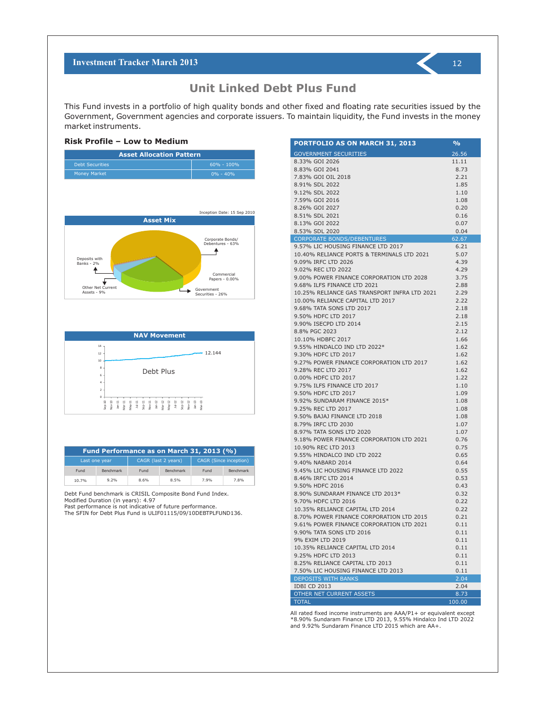**Unit Linked Debt Plus Fund**

This Fund invests in a portfolio of high quality bonds and other fixed and floating rate securities issued by the Government, Government agencies and corporate issuers. To maintain liquidity, the Fund invests in the money market instruments.

#### **Risk Profile – Low to Medium**







| Fund Performance as on March 31, 2013 (%) |                                      |      |                  |                               |           |  |  |
|-------------------------------------------|--------------------------------------|------|------------------|-------------------------------|-----------|--|--|
|                                           | CAGR (last 2 years)<br>Last one year |      |                  | <b>CAGR (Since inception)</b> |           |  |  |
| Fund                                      | Benchmark                            | Fund | <b>Benchmark</b> | Fund                          | Benchmark |  |  |
| 10.7%                                     | 9.2%                                 | 8.6% | 8.5%             | 7.9%                          | 7.8%      |  |  |

Debt Fund benchmark is CRISIL Composite Bond Fund Index. Modified Duration (in years): 4.97

Past performance is not indicative of future performance.

The SFIN for Debt Plus Fund is ULIF01115/09/10DEBTPLFUND136.

| PORTFOLIO AS ON MARCH 31, 2013               | $\frac{9}{0}$ |
|----------------------------------------------|---------------|
| <b>GOVERNMENT SECURITIES</b>                 | 26.56         |
| 8.33% GOI 2026                               | 11.11         |
| 8.83% GOI 2041                               | 8.73          |
| 7.83% GOI OIL 2018                           | 2.21          |
| 8.91% SDL 2022                               | 1.85          |
| 9.12% SDL 2022                               | 1.10          |
| 7.59% GOI 2016                               | 1.08          |
| 8.26% GOI 2027                               | 0.20          |
| 8.51% SDL 2021                               | 0.16          |
| 8.13% GOI 2022                               | 0.07          |
| 8.53% SDL 2020                               | 0.04          |
| CORPORATE BONDS/DEBENTURES                   | 62.67         |
| 9.57% LIC HOUSING FINANCE LTD 2017           | 6.21          |
| 10.40% RELIANCE PORTS & TERMINALS LTD 2021   | 5.07          |
| 9.09% IRFC LTD 2026                          | 4.39          |
| 9.02% REC LTD 2022                           | 4.29          |
| 9.00% POWER FINANCE CORPORATION LTD 2028     | 3.75          |
| 9.68% ILFS FINANCE LTD 2021                  | 2.88          |
| 10.25% RELIANCE GAS TRANSPORT INFRA LTD 2021 | 2.29          |
| 10.00% RELIANCE CAPITAL LTD 2017             | 2.22          |
| 9.68% TATA SONS LTD 2017                     | 2.18          |
| 9.50% HDFC LTD 2017                          | 2.18          |
| 9.90% ISECPD LTD 2014                        | 2.15          |
| 8.8% PGC 2023                                | 2.12          |
| 10.10% HDBFC 2017                            | 1.66          |
| 9.55% HINDALCO IND LTD 2022*                 | 1.62          |
| 9.30% HDFC LTD 2017                          | 1.62          |
| 9.27% POWER FINANCE CORPORATION LTD 2017     | 1.62          |
| 9.28% REC LTD 2017                           |               |
| 0.00% HDFC LTD 2017                          | 1.62<br>1.22  |
| 9.75% ILFS FINANCE LTD 2017                  |               |
|                                              | 1.10          |
| 9.50% HDFC LTD 2017                          | 1.09          |
| 9.92% SUNDARAM FINANCE 2015*                 | 1.08          |
| 9.25% REC LTD 2017                           | 1.08          |
| 9.50% BAJAJ FINANCE LTD 2018                 | 1.08          |
| 8.79% IRFC LTD 2030                          | 1.07          |
| 8.97% TATA SONS LTD 2020                     | 1.07          |
| 9.18% POWER FINANCE CORPORATION LTD 2021     | 0.76          |
| 10.90% REC LTD 2013                          | 0.75          |
| 9.55% HINDALCO IND LTD 2022                  | 0.65          |
| 9.40% NABARD 2014                            | 0.64          |
| 9.45% LIC HOUSING FINANCE LTD 2022           | 0.55          |
| 8.46% IRFC LTD 2014                          | 0.53          |
| 9.50% HDFC 2016                              | 0.43          |
| 8.90% SUNDARAM FINANCE LTD 2013*             | 0.32          |
| 9.70% HDFC LTD 2016                          | 0.22          |
| 10.35% RELIANCE CAPITAL LTD 2014             | 0.22          |
| 8.70% POWER FINANCE CORPORATION LTD 2015     | 0.21          |
| 9.61% POWER FINANCE CORPORATION LTD 2021     | 0.11          |
| 9.90% TATA SONS LTD 2016                     | 0.11          |
| 9% EXIM LTD 2019                             | 0.11          |
| 10.35% RELIANCE CAPITAL LTD 2014             | 0.11          |
| 9.25% HDFC LTD 2013                          | 0.11          |
| 8.25% RELIANCE CAPITAL LTD 2013              | 0.11          |
| 7.50% LIC HOUSING FINANCE LTD 2013           | 0.11          |
| <b>DEPOSITS WITH BANKS</b>                   | 2.04          |
| <b>IDBI CD 2013</b>                          | 2.04          |
| OTHER NET CURRENT ASSETS                     | 8.73          |
| <b>TOTAL</b>                                 | 100.00        |

All rated fixed income instruments are AAA/P1+ or equivalent except \*8.90% Sundaram Finance LTD 2013, 9.55% Hindalco Ind LTD 2022 and 9.92% Sundaram Finance LTD 2015 which are AA+.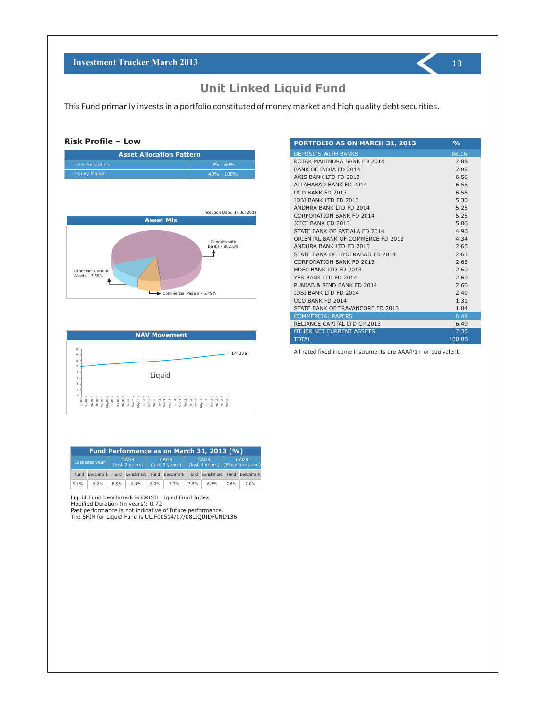This Fund primarily invests in a portfolio constituted of money market and high quality debt securities.

#### **Risk Profile – Low**

| <b>Asset Allocation Pattern</b> |                |  |  |  |
|---------------------------------|----------------|--|--|--|
| <b>Debt Securities</b>          | $0\% - 60\%$   |  |  |  |
| <b>Money Market</b>             | $40\% - 100\%$ |  |  |  |





| Fund Performance as on March 31, 2013 (%) |                  |      |                                             |      |                               |                                                 |                |      |                  |  |
|-------------------------------------------|------------------|------|---------------------------------------------|------|-------------------------------|-------------------------------------------------|----------------|------|------------------|--|
|                                           | Last one year    |      | <b>CAGR</b><br>$\frac{1}{1}$ (last 2 years) |      | <b>CAGR</b><br>(last 3 years) | <b>CAGR</b><br>(last 4 years) (Since inception) |                |      | <b>CAGR</b>      |  |
| Fund                                      | <b>Benchmark</b> |      | Fund Benchmark                              |      | Fund Benchmark                |                                                 | Fund Benchmark | Fund | <b>Benchmark</b> |  |
| 9.1%                                      | 8.2%             | 8.9% | 8.3%                                        | 8.0% | 7.7%                          | 7.5%                                            | 6.5%           | 7.8% | 7.0%             |  |

Liquid Fund benchmark is CRISIL Liquid Fund Index.

Modified Duration (in years): 0.72

Past performance is not indicative of future performance. The SFIN for Liquid Fund is ULIF00514/07/08LIQUIDFUND136.

| <b>PORTFOLIO AS ON MARCH 31, 2013</b> | O <sub>0</sub> |
|---------------------------------------|----------------|
| <b>DEPOSITS WITH BANKS</b>            | 86.16          |
| KOTAK MAHINDRA BANK FD 2014           | 7.88           |
| BANK OF INDIA FD 2014                 | 7.88           |
| AXIS BANK LTD FD 2013                 | 6.56           |
| ALLAHABAD BANK FD 2014                | 6.56           |
| UCO BANK FD 2013                      | 6.56           |
| <b>IDBI BANK ITD FD 2013</b>          | 5.30           |
| ANDHRA BANK LTD FD 2014               | 5.25           |
| <b>CORPORATION BANK FD 2014</b>       | 5.25           |
| <b>ICICI BANK CD 2013</b>             | 5.06           |
| STATE BANK OF PATIALA ED 2014         | 4.96           |
| ORIENTAL BANK OF COMMERCE ED 2013     | 4.34           |
| ANDHRA BANK LTD FD 2015               | 2.65           |
| STATE BANK OF HYDERABAD FD 2014       | 2.63           |
| <b>CORPORATION BANK FD 2013</b>       | 2.63           |
| HDFC BANK ITD FD 2013                 | 2.60           |
| YES BANK LTD FD 2014                  | 2.60           |
| PUNJAB & SIND BANK FD 2014            | 2.60           |
| <b>IDBI BANK LTD FD 2014</b>          | 2.49           |
| UCO BANK FD 2014                      | 1.31           |
| STATE BANK OF TRAVANCORE FD 2013      | 1.04           |
| <b>COMMERCIAL PAPERS</b>              | 6.49           |
| RELIANCE CAPITAL LTD CP 2013          | 6.49           |
| <b>OTHER NET CURRENT ASSETS</b>       | 7.35           |
| <b>TOTAL</b>                          | 100.00         |

All rated fixed income instruments are AAA/P1+ or equivalent.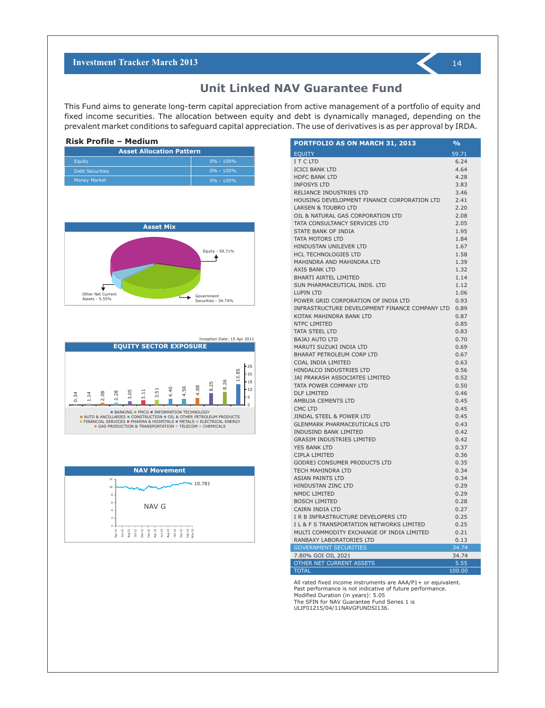### **Unit Linked NAV Guarantee Fund**

This Fund aims to generate long-term capital appreciation from active management of a portfolio of equity and fixed income securities. The allocation between equity and debt is dynamically managed, depending on the prevalent market conditions to safeguard capital appreciation. The use of derivatives is as per approval by IRDA.

| <b>Asset Allocation Pattern</b> |               |  |  |  |
|---------------------------------|---------------|--|--|--|
| Equity                          | $0\% - 100\%$ |  |  |  |
| <b>Debt Securities</b>          | $0\% - 100\%$ |  |  |  |
| <b>Money Market</b>             | $0\% - 100\%$ |  |  |  |



Inception Date: 15 Apr 2011





| <b>PORTFOLIO AS ON MARCH 31, 2013</b>          | %      |
|------------------------------------------------|--------|
| <b>EQUITY</b>                                  | 59.71  |
| I T C LTD                                      | 6.24   |
| <b>ICICI BANK LTD</b>                          | 4.64   |
| <b>HDFC BANK LTD</b>                           | 4.28   |
| <b>INFOSYS LTD</b>                             | 3.83   |
| RELIANCE INDUSTRIES LTD                        | 3.46   |
| HOUSING DEVELOPMENT FINANCE CORPORATION LTD    | 2.41   |
| LARSEN & TOUBRO LTD                            | 2.20   |
| OIL & NATURAL GAS CORPORATION LTD              | 2.08   |
| TATA CONSULTANCY SERVICES LTD                  | 2.05   |
| STATE BANK OF INDIA                            | 1.95   |
| TATA MOTORS LTD                                | 1.84   |
| HINDUSTAN UNILEVER LTD                         | 1.67   |
| <b>HCL TECHNOLOGIES LTD</b>                    | 1.58   |
| MAHINDRA AND MAHINDRA LTD                      | 1.39   |
| AXIS BANK LTD                                  | 1.32   |
| <b>BHARTI AIRTEL LIMITED</b>                   | 1.14   |
| SUN PHARMACEUTICAL INDS. LTD                   | 1.12   |
| LUPIN LTD                                      | 1.06   |
| POWER GRID CORPORATION OF INDIA LTD            | 0.93   |
| INFRASTRUCTURE DEVELOPMENT FINANCE COMPANY LTD | 0.89   |
| KOTAK MAHINDRA BANK LTD                        | 0.87   |
| <b>NTPC LIMITED</b>                            | 0.85   |
| <b>TATA STEEL LTD</b>                          | 0.83   |
| <b>BAJAJ AUTO LTD</b>                          | 0.70   |
| MARUTI SUZUKI INDIA LTD                        | 0.69   |
| BHARAT PETROLEUM CORP LTD                      | 0.67   |
| COAL INDIA LIMITED                             | 0.63   |
| HINDALCO INDUSTRIES LTD                        | 0.56   |
| JAI PRAKASH ASSOCIATES LIMITED                 | 0.52   |
| TATA POWER COMPANY LTD                         | 0.50   |
| DLF LIMITED                                    | 0.46   |
| <b>AMBUJA CEMENTS LTD</b>                      | 0.45   |
| CMC LTD                                        | 0.45   |
| JINDAL STEEL & POWER LTD                       | 0.45   |
| <b>GLENMARK PHARMACEUTICALS LTD</b>            | 0.43   |
| INDUSIND BANK LIMITED                          | 0.42   |
| <b>GRASIM INDUSTRIES LIMITED</b>               | 0.42   |
| <b>YES BANK LTD</b>                            | 0.37   |
| CIPLA LIMITED                                  | 0.36   |
| <b>GODREJ CONSUMER PRODUCTS LTD</b>            | 0.35   |
| <b>TECH MAHINDRA LTD</b>                       | 0.34   |
| ASIAN PAINTS LTD                               | 0.34   |
| <b>HINDUSTAN ZINC LTD</b>                      | 0.29   |
| NMDC LIMITED                                   | 0.29   |
| <b>BOSCH LIMITED</b>                           | 0.28   |
| CAIRN INDIA LTD                                | 0.27   |
| I R B INFRASTRUCTURE DEVELOPERS LTD            | 0.25   |
| I L & F S TRANSPORTATION NETWORKS LIMITED      | 0.25   |
| MULTI COMMODITY EXCHANGE OF INDIA LIMITED      | 0.21   |
| RANBAXY LABORATORIES LTD                       | 0.13   |
| <b>GOVERNMENT SECURITIES</b>                   | 34.74  |
| 7.80% GOI OIL 2021                             | 34.74  |
| OTHER NET CURRENT ASSETS                       | 5.55   |
| <b>TOTAL</b>                                   | 100.00 |

All rated fixed income instruments are AAA/P1+ or equivalent. Past performance is not indicative of future performance. Modified Duration (in years): 5.05 The SFIN for NAV Guarantee Fund Series 1 is ULIF01215/04/11NAVGFUNDSI136.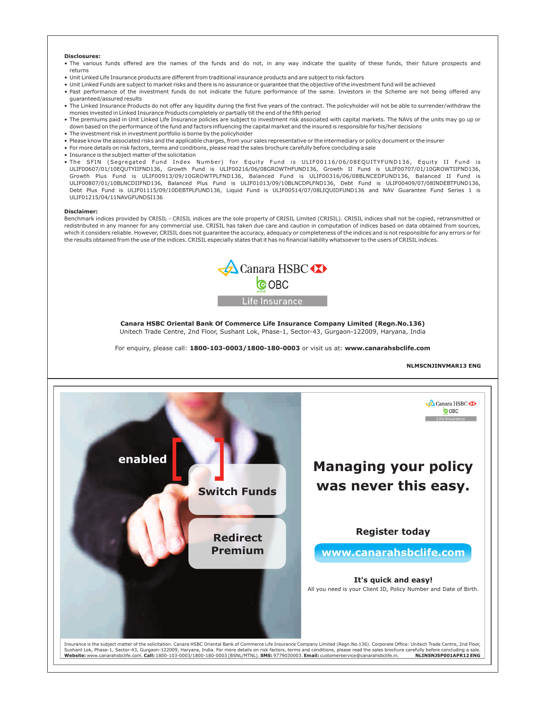#### **Disclosures:**

- The various funds offered are the names of the funds and do not, in any way indicate the quality of these funds, their future prospects and returns
- Unit Linked Life Insurance products are different from traditional insurance products and are subject to risk factors
- Unit Linked Funds are subject to market risks and there is no assurance or guarantee that the objective of the investment fund will be achieved
- Past performance of the investment funds do not indicate the future performance of the same. Investors in the Scheme are not being offered any guaranteed/assured results
- $\bullet$  The Linked Insurance Products do not offer any liquidity during the first five years of the contract. The policyholder will not be able to surrender/withdraw the monies invested in Linked Insurance Products completely or partially till the end of the fifth period
- The premiums paid in Unit Linked Life Insurance policies are subject to investment risk associated with capital markets. The NAVs of the units may go up or down based on the performance of the fund and factors influencing the capital market and the insured is responsible for his/her decisions
- The investment risk in investment portfolio is borne by the policyholder
- Please know the associated risks and the applicable charges, from your sales representative or the intermediary or policy document or the insurer
- For more details on risk factors, terms and conditions, please read the sales brochure carefully before concluding a sale
- Insurance is the subject matter of the solicitation
- . The SFIN (Segregated Fund Index Number) for Equity Fund is ULIF00116/06/08EQUITYFUND136, Equity II Fund is ULIF00607/01/10EQUTYIIFND136, Growth Fund is ULIF00216/06/08GROWTHFUND136, Growth II Fund is ULIF00707/01/10GROWTIIFND136, Growth Plus Fund is ULIF00913/09/10GROWTPLFND136, Balanced Fund is ULIF00316/06/08BLNCEDFUND136, Balanced II Fund is ULIF00807/01/10BLNCDIIFND136, Balanced Plus Fund is ULIF01013/09/10BLNCDPLFND136, Debt Fund is ULIF00409/07/08INDEBTFUND136, Debt Plus Fund is ULIF01115/09/10DEBTPLFUND136, Liquid Fund is ULIF00514/07/08LIQUIDFUND136 and NAV Guarantee Fund Series 1 is ULIF01215/04/11NAVGFUNDSI136

#### **Disclaimer:**

Benchmark indices provided by CRISIL - CRISIL indices are the sole property of CRISIL Limited (CRISIL). CRISIL indices shall not be copied, retransmitted or redistributed in any manner for any commercial use. CRISIL has taken due care and caution in computation of indices based on data obtained from sources, which it considers reliable. However, CRISIL does not guarantee the accuracy, adequacy or completeness of the indices and is not responsible for any errors or for the results obtained from the use of the indices. CRISIL especially states that it has no financial liability whatsoever to the users of CRISIL indices.



**Canara HSBC Oriental Bank Of Commerce Life Insurance Company Limited (Regn.No.136)** Unitech Trade Centre, 2nd Floor, Sushant Lok, Phase-1, Sector-43, Gurgaon-122009, Haryana, India

For enquiry, please call: **1800-103-0003/1800-180-0003** or visit us at: **www.canarahsbclife.com**

#### **NLMSCNJINVMAR13 ENG**



Sushant Lok, Phase-1, Sector-43, Gurgaon-122009, Haryana, India. For more details on risk factors, terms and conditions, please read the sales brochure carefully before concluding a sale.<br>Website: www.canarahsbclife.com. C Website: www.canarahsbclife.com. Call: 1800-103-0003/1800-180-0003 (BSNL/MTNL). SMS: 9779030003. Email: customerservice@canarahsbclife.in.